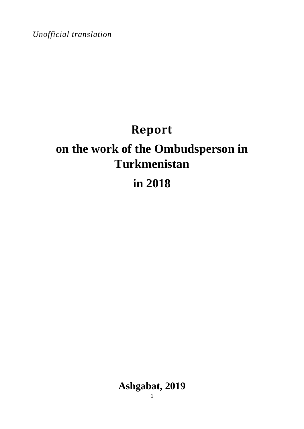*Unofficial translation*

# **Report**

# **on the work of the Ombudsperson in Turkmenistan**

# **in 2018**

**Ashgabat, 2019**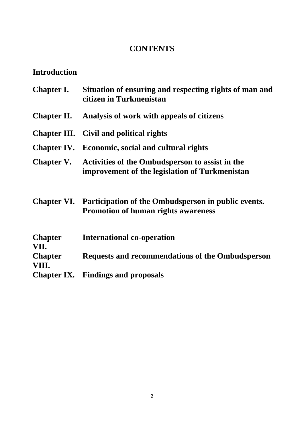### **CONTENTS**

## **Introduction**

|                         | Chapter I. Situation of ensuring and respecting rights of man and<br>citizen in Turkmenistan                  |
|-------------------------|---------------------------------------------------------------------------------------------------------------|
|                         | <b>Chapter II.</b> Analysis of work with appeals of citizens                                                  |
|                         | <b>Chapter III.</b> Civil and political rights                                                                |
|                         | Chapter IV. Economic, social and cultural rights                                                              |
|                         | Chapter V. Activities of the Ombudsperson to assist in the<br>improvement of the legislation of Turkmenistan  |
|                         | Chapter VI. Participation of the Ombudsperson in public events.<br><b>Promotion of human rights awareness</b> |
| <b>Chapter</b><br>VII.  | <b>International co-operation</b>                                                                             |
| <b>Chapter</b><br>VIII. | Requests and recommendations of the Ombudsperson                                                              |
|                         | <b>Chapter IX.</b> Findings and proposals                                                                     |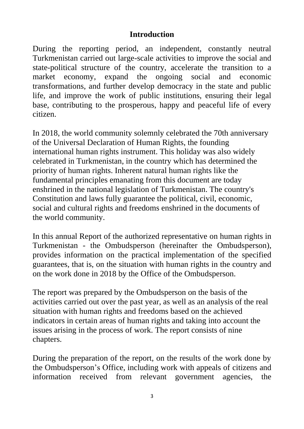#### **Introduction**

During the reporting period, an independent, constantly neutral Turkmenistan carried out large-scale activities to improve the social and state-political structure of the country, accelerate the transition to a market economy, expand the ongoing social and economic transformations, and further develop democracy in the state and public life, and improve the work of public institutions, ensuring their legal base, contributing to the prosperous, happy and peaceful life of every citizen.

In 2018, the world community solemnly celebrated the 70th anniversary of the Universal Declaration of Human Rights, the founding international human rights instrument. This holiday was also widely celebrated in Turkmenistan, in the country which has determined the priority of human rights. Inherent natural human rights like the fundamental principles emanating from this document are today enshrined in the national legislation of Turkmenistan. The country's Constitution and laws fully guarantee the political, civil, economic, social and cultural rights and freedoms enshrined in the documents of the world community.

In this annual Report of the authorized representative on human rights in Turkmenistan - the Ombudsperson (hereinafter the Ombudsperson), provides information on the practical implementation of the specified guarantees, that is, on the situation with human rights in the country and on the work done in 2018 by the Office of the Ombudsperson.

The report was prepared by the Ombudsperson on the basis of the activities carried out over the past year, as well as an analysis of the real situation with human rights and freedoms based on the achieved indicators in certain areas of human rights and taking into account the issues arising in the process of work. The report consists of nine chapters.

During the preparation of the report, on the results of the work done by the Ombudsperson's Office, including work with appeals of citizens and information received from relevant government agencies, the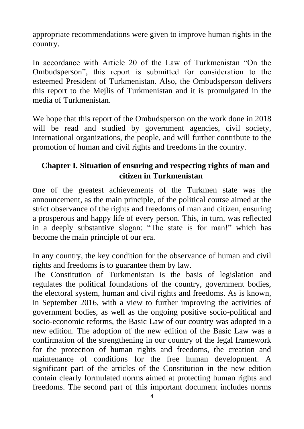appropriate recommendations were given to improve human rights in the country.

In accordance with Article 20 of the Law of Turkmenistan "On the Ombudsperson", this report is submitted for consideration to the esteemed President of Turkmenistan. Also, the Ombudsperson delivers this report to the Mejlis of Turkmenistan and it is promulgated in the media of Turkmenistan.

We hope that this report of the Ombudsperson on the work done in 2018 will be read and studied by government agencies, civil society, international organizations, the people, and will further contribute to the promotion of human and civil rights and freedoms in the country.

### **Chapter I. Situation of ensuring and respecting rights of man and citizen in Turkmenistan**

One of the greatest achievements of the Turkmen state was the announcement, as the main principle, of the political course aimed at the strict observance of the rights and freedoms of man and citizen, ensuring a prosperous and happy life of every person. This, in turn, was reflected in a deeply substantive slogan: "The state is for man!" which has become the main principle of our era.

In any country, the key condition for the observance of human and civil rights and freedoms is to guarantee them by law.

The Constitution of Turkmenistan is the basis of legislation and regulates the political foundations of the country, government bodies, the electoral system, human and civil rights and freedoms. As is known, in September 2016, with a view to further improving the activities of government bodies, as well as the ongoing positive socio-political and socio-economic reforms, the Basic Law of our country was adopted in a new edition. The adoption of the new edition of the Basic Law was a confirmation of the strengthening in our country of the legal framework for the protection of human rights and freedoms, the creation and maintenance of conditions for the free human development. A significant part of the articles of the Constitution in the new edition contain clearly formulated norms aimed at protecting human rights and freedoms. The second part of this important document includes norms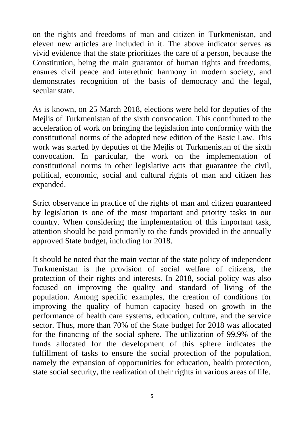on the rights and freedoms of man and citizen in Turkmenistan, and eleven new articles are included in it. The above indicator serves as vivid evidence that the state prioritizes the care of a person, because the Constitution, being the main guarantor of human rights and freedoms, ensures civil peace and interethnic harmony in modern society, and demonstrates recognition of the basis of democracy and the legal, secular state.

As is known, on 25 March 2018, elections were held for deputies of the Mejlis of Turkmenistan of the sixth convocation. This contributed to the acceleration of work on bringing the legislation into conformity with the constitutional norms of the adopted new edition of the Basic Law. This work was started by deputies of the Mejlis of Turkmenistan of the sixth convocation. In particular, the work on the implementation of constitutional norms in other legislative acts that guarantee the civil, political, economic, social and cultural rights of man and citizen has expanded.

Strict observance in practice of the rights of man and citizen guaranteed by legislation is one of the most important and priority tasks in our country. When considering the implementation of this important task, attention should be paid primarily to the funds provided in the annually approved State budget, including for 2018.

It should be noted that the main vector of the state policy of independent Turkmenistan is the provision of social welfare of citizens, the protection of their rights and interests. In 2018, social policy was also focused on improving the quality and standard of living of the population. Among specific examples, the creation of conditions for improving the quality of human capacity based on growth in the performance of health care systems, education, culture, and the service sector. Thus, more than 70% of the State budget for 2018 was allocated for the financing of the social sphere. The utilization of 99.9% of the funds allocated for the development of this sphere indicates the fulfillment of tasks to ensure the social protection of the population, namely the expansion of opportunities for education, health protection, state social security, the realization of their rights in various areas of life.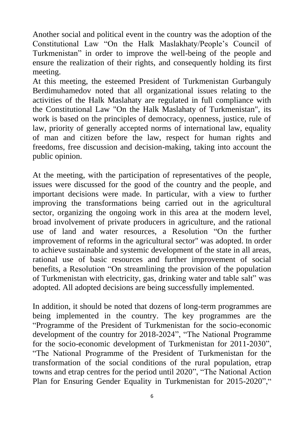Another social and political event in the country was the adoption of the Constitutional Law "On the Halk Maslakhaty/People's Council of Turkmenistan" in order to improve the well-being of the people and ensure the realization of their rights, and consequently holding its first meeting.

At this meeting, the esteemed President of Turkmenistan Gurbanguly Berdimuhamedov noted that all organizational issues relating to the activities of the Halk Maslahaty are regulated in full compliance with the Constitutional Law "On the Halk Maslahaty of Turkmenistan", its work is based on the principles of democracy, openness, justice, rule of law, priority of generally accepted norms of international law, equality of man and citizen before the law, respect for human rights and freedoms, free discussion and decision-making, taking into account the public opinion.

At the meeting, with the participation of representatives of the people, issues were discussed for the good of the country and the people, and important decisions were made. In particular, with a view to further improving the transformations being carried out in the agricultural sector, organizing the ongoing work in this area at the modern level, broad involvement of private producers in agriculture, and the rational use of land and water resources, a Resolution "On the further improvement of reforms in the agricultural sector" was adopted. In order to achieve sustainable and systemic development of the state in all areas, rational use of basic resources and further improvement of social benefits, a Resolution "On streamlining the provision of the population of Turkmenistan with electricity, gas, drinking water and table salt" was adopted. All adopted decisions are being successfully implemented.

In addition, it should be noted that dozens of long-term programmes are being implemented in the country. The key programmes are the "Programme of the President of Turkmenistan for the socio-economic development of the country for 2018-2024", "The National Programme for the socio-economic development of Turkmenistan for 2011-2030", "The National Programme of the President of Turkmenistan for the transformation of the social conditions of the rural population, etrap towns and etrap centres for the period until 2020", "The National Action Plan for Ensuring Gender Equality in Turkmenistan for 2015-2020","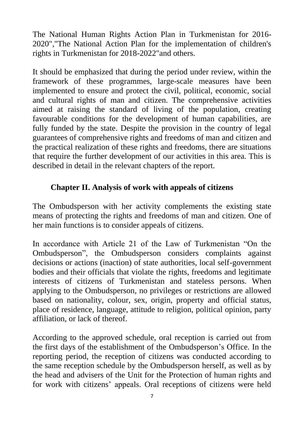The National Human Rights Action Plan in Turkmenistan for 2016- 2020","The National Action Plan for the implementation of children's rights in Turkmenistan for 2018-2022"and others.

It should be emphasized that during the period under review, within the framework of these programmes, large-scale measures have been implemented to ensure and protect the civil, political, economic, social and cultural rights of man and citizen. The comprehensive activities aimed at raising the standard of living of the population, creating favourable conditions for the development of human capabilities, are fully funded by the state. Despite the provision in the country of legal guarantees of comprehensive rights and freedoms of man and citizen and the practical realization of these rights and freedoms, there are situations that require the further development of our activities in this area. This is described in detail in the relevant chapters of the report.

#### **Chapter II. Analysis of work with appeals of citizens**

The Ombudsperson with her activity complements the existing state means of protecting the rights and freedoms of man and citizen. One of her main functions is to consider appeals of citizens.

In accordance with Article 21 of the Law of Turkmenistan "On the Ombudsperson", the Ombudsperson considers complaints against decisions or actions (inaction) of state authorities, local self-government bodies and their officials that violate the rights, freedoms and legitimate interests of citizens of Turkmenistan and stateless persons. When applying to the Ombudsperson, no privileges or restrictions are allowed based on nationality, colour, sex, origin, property and official status, place of residence, language, attitude to religion, political opinion, party affiliation, or lack of thereof.

According to the approved schedule, oral reception is carried out from the first days of the establishment of the Ombudsperson's Office. In the reporting period, the reception of citizens was conducted according to the same reception schedule by the Ombudsperson herself, as well as by the head and advisers of the Unit for the Protection of human rights and for work with citizens' appeals. Oral receptions of citizens were held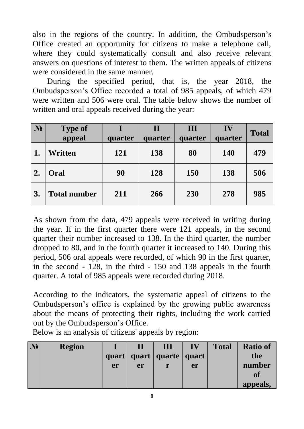also in the regions of the country. In addition, the Ombudsperson's Office created an opportunity for citizens to make a telephone call, where they could systematically consult and also receive relevant answers on questions of interest to them. The written appeals of citizens were considered in the same manner.

During the specified period, that is, the year 2018, the Ombudsperson's Office recorded a total of 985 appeals, of which 479 were written and 506 were oral. The table below shows the number of written and oral appeals received during the year:

| $N_2$ | <b>Type of</b>      |         | $\mathbf{I}$ | III     | IV      | <b>Total</b> |
|-------|---------------------|---------|--------------|---------|---------|--------------|
|       | appeal              | quarter | quarter      | quarter | quarter |              |
|       | Written             | 121     | 138          | 80      | 140     | 479          |
| 2.    | Oral                | 90      | 128          | 150     | 138     | 506          |
| 3.    | <b>Total number</b> | 211     | 266          | 230     | 278     | 985          |

As shown from the data, 479 appeals were received in writing during the year. If in the first quarter there were 121 appeals, in the second quarter their number increased to 138. In the third quarter, the number dropped to 80, and in the fourth quarter it increased to 140. During this period, 506 oral appeals were recorded, of which 90 in the first quarter, in the second - 128, in the third - 150 and 138 appeals in the fourth quarter. A total of 985 appeals were recorded during 2018.

According to the indicators, the systematic appeal of citizens to the Ombudsperson's office is explained by the growing public awareness about the means of protecting their rights, including the work carried out by the Ombudsperson's Office.

Below is an analysis of citizens' appeals by region:

| $N_2$ | <b>Region</b> |    |    | Ш                              | IV | <b>Total</b> | <b>Ratio of</b> |
|-------|---------------|----|----|--------------------------------|----|--------------|-----------------|
|       |               |    |    | quart   quart   quarte   quart |    |              | the             |
|       |               | er | er |                                | er |              | number          |
|       |               |    |    |                                |    |              | <b>of</b>       |
|       |               |    |    |                                |    |              | appeals,        |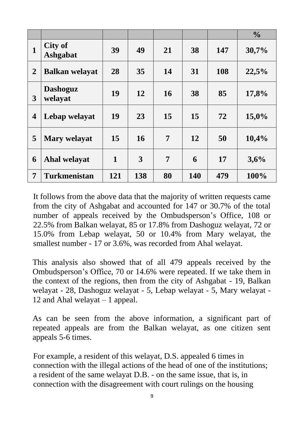|                         |                            |     |     |    |     |     | $\frac{0}{0}$ |
|-------------------------|----------------------------|-----|-----|----|-----|-----|---------------|
| 1                       | City of<br><b>Ashgabat</b> | 39  | 49  | 21 | 38  | 147 | 30,7%         |
| $\overline{2}$          | <b>Balkan welayat</b>      | 28  | 35  | 14 | 31  | 108 | 22,5%         |
| 3                       | <b>Dashoguz</b><br>welayat | 19  | 12  | 16 | 38  | 85  | 17,8%         |
| $\overline{\mathbf{4}}$ | Lebap welayat              | 19  | 23  | 15 | 15  | 72  | 15,0%         |
| 5                       | <b>Mary welayat</b>        | 15  | 16  | 7  | 12  | 50  | 10,4%         |
| 6                       | Ahal welayat               | 1   | 3   | 7  | 6   | 17  | 3,6%          |
| 7                       | <b>Turkmenistan</b>        | 121 | 138 | 80 | 140 | 479 | 100%          |

It follows from the above data that the majority of written requests came from the city of Ashgabat and accounted for 147 or 30.7% of the total number of appeals received by the Ombudsperson's Office, 108 or 22.5% from Balkan welayat, 85 or 17.8% from Dashoguz welayat, 72 or 15.0% from Lebap welayat, 50 or 10.4% from Mary welayat, the smallest number - 17 or 3.6%, was recorded from Ahal welayat.

This analysis also showed that of all 479 appeals received by the Ombudsperson's Office, 70 or 14.6% were repeated. If we take them in the context of the regions, then from the city of Ashgabat - 19, Balkan welayat - 28, Dashoguz welayat - 5, Lebap welayat - 5, Mary welayat - 12 and Ahal welayat – 1 appeal.

As can be seen from the above information, a significant part of repeated appeals are from the Balkan welayat, as one citizen sent appeals 5-6 times.

For example, a resident of this welayat, D.S. appealed 6 times in connection with the illegal actions of the head of one of the institutions; a resident of the same welayat D.B. - on the same issue, that is, in connection with the disagreement with court rulings on the housing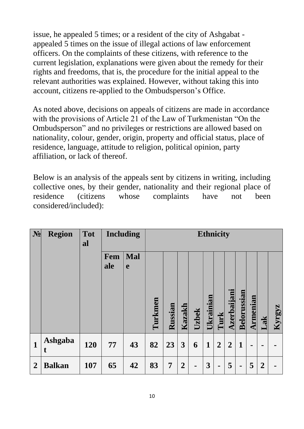issue, he appealed 5 times; or a resident of the city of Ashgabat appealed 5 times on the issue of illegal actions of law enforcement officers. On the complaints of these citizens, with reference to the current legislation, explanations were given about the remedy for their rights and freedoms, that is, the procedure for the initial appeal to the relevant authorities was explained. However, without taking this into account, citizens re-applied to the Ombudsperson's Office.

As noted above, decisions on appeals of citizens are made in accordance with the provisions of Article 21 of the Law of Turkmenistan "On the Ombudsperson" and no privileges or restrictions are allowed based on nationality, colour, gender, origin, property and official status, place of residence, language, attitude to religion, political opinion, party affiliation, or lack of thereof.

Below is an analysis of the appeals sent by citizens in writing, including collective ones, by their gender, nationality and their regional place of residence (citizens whose complaints have not been considered/included):

| N <sub>2</sub> | <b>Region</b> | <b>Tot</b><br>al |            | <b>Including</b> |         | <b>Ethnicity</b> |                |       |             |                |                                |                    |                 |                         |        |
|----------------|---------------|------------------|------------|------------------|---------|------------------|----------------|-------|-------------|----------------|--------------------------------|--------------------|-----------------|-------------------------|--------|
|                |               |                  | Fem<br>ale | Mal<br>e         | Turkmen | Russian          | Kazakh         | Uzbek | Ukrainian   | Turk           | $\mathbf{a}$<br><b>Azerbai</b> | <b>Belorussian</b> | <b>Armenian</b> | $\overline{\mathbf{a}}$ | Kyrgyz |
| $\mathbf{1}$   | Ashgaba<br>t  | 120              | 77         | 43               | 82      | 23               | 3              | 6     | $\mathbf 1$ | $\overline{2}$ | $\overline{2}$                 | 1                  | ۰               |                         |        |
| $\overline{2}$ | <b>Balkan</b> | 107              | 65         | 42               | 83      | 7                | $\overline{2}$ |       | 3           | $\blacksquare$ | 5                              | $\blacksquare$     | 5               | $\overline{2}$          |        |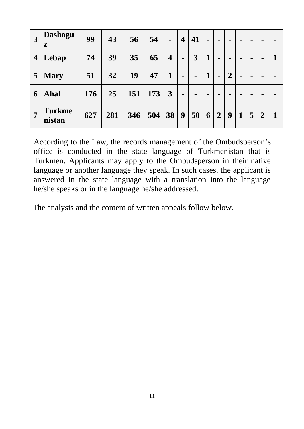| $\overline{3}$          | <b>Dashogu</b><br>${\bf z}$ | 99  | 43  | 56  | 54  | $\blacksquare$          | $\overline{\mathbf{4}}$ | 41             | $\blacksquare$ | $\blacksquare$ | -              |             |   | $\blacksquare$ | - |
|-------------------------|-----------------------------|-----|-----|-----|-----|-------------------------|-------------------------|----------------|----------------|----------------|----------------|-------------|---|----------------|---|
| $\overline{\mathbf{4}}$ | Lebap                       | 74  | 39  | 35  | 65  | $\overline{\mathbf{4}}$ | $\blacksquare$          | $\overline{3}$ | $\mathbf{1}$   |                |                |             |   | $\blacksquare$ | 1 |
| 5                       | <b>Mary</b>                 | 51  | 32  | 19  | 47  | 1                       | $\blacksquare$          | $\blacksquare$ | $\mathbf{1}$   | $\blacksquare$ | $\overline{2}$ |             |   | $\blacksquare$ | - |
| 6                       | Ahal                        | 176 | 25  | 151 | 173 | 3                       | $\blacksquare$          | $\blacksquare$ | $\blacksquare$ |                |                |             |   | $\blacksquare$ |   |
| $\overline{7}$          | <b>Turkme</b><br>nistan     | 627 | 281 | 346 | 504 | 38                      | 9                       | 50             | 6              | $\overline{2}$ | 9              | $\mathbf 1$ | 5 | $\overline{2}$ | 1 |

According to the Law, the records management of the Ombudsperson's office is conducted in the state language of Turkmenistan that is Turkmen. Applicants may apply to the Ombudsperson in their native language or another language they speak. In such cases, the applicant is answered in the state language with a translation into the language he/she speaks or in the language he/she addressed.

The analysis and the content of written appeals follow below.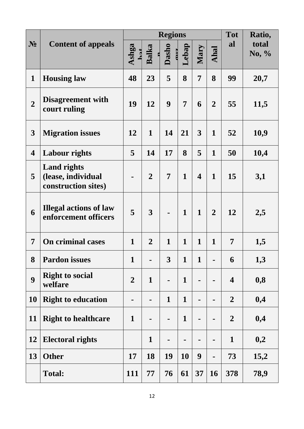|                         |                                                                 |                |                | <b>Regions</b>        |                |                         |                | <b>Tot</b>              | Ratio,            |
|-------------------------|-----------------------------------------------------------------|----------------|----------------|-----------------------|----------------|-------------------------|----------------|-------------------------|-------------------|
| $N_2$                   | <b>Content of appeals</b>                                       | Ashga          | Balka<br>\$    | Dasho<br>$\mathbf{u}$ | Lebap          | Mary                    | Ahal           | al                      | total<br>No, $\%$ |
| $\mathbf{1}$            | <b>Housing law</b>                                              | 48             | 23             | 5                     | 8              | $\overline{7}$          | 8              | 99                      | 20,7              |
| $\overline{2}$          | <b>Disagreement with</b><br>court ruling                        | 19             | 12             | 9                     | $\overline{7}$ | 6                       | $\overline{2}$ | 55                      | 11,5              |
| 3                       | <b>Migration issues</b>                                         | 12             | $\mathbf{1}$   | 14                    | 21             | 3                       | $\mathbf{1}$   | 52                      | 10,9              |
| $\overline{\mathbf{4}}$ | <b>Labour rights</b>                                            | 5              | 14             | 17                    | 8              | 5                       | $\mathbf{1}$   | 50                      | 10,4              |
| 5                       | <b>Land rights</b><br>(lease, individual<br>construction sites) |                | $\overline{2}$ | 7                     | $\mathbf{1}$   | $\overline{\mathbf{4}}$ | $\mathbf{1}$   | 15                      | 3,1               |
| 6                       | <b>Illegal actions of law</b><br>enforcement officers           | 5              | $\overline{3}$ |                       | $\mathbf{1}$   | $\mathbf{1}$            | $\overline{2}$ | 12                      | 2,5               |
| 7                       | <b>On criminal cases</b>                                        | $\mathbf{1}$   | $\overline{2}$ | $\mathbf{1}$          | $\mathbf{1}$   | $\mathbf{1}$            | $\mathbf{1}$   | 7                       | 1,5               |
| 8                       | <b>Pardon issues</b>                                            | $\mathbf 1$    | -              | 3                     | 1              | $\mathbf 1$             |                | 6                       | 1,3               |
| 9                       | <b>Right to social</b><br>welfare                               | $\overline{2}$ | $\mathbf{1}$   |                       | $\mathbf{1}$   | $\blacksquare$          |                | $\overline{\mathbf{4}}$ | 0,8               |
| <b>10</b>               | <b>Right to education</b>                                       | $\blacksquare$ | $\blacksquare$ | $\mathbf{1}$          | $\mathbf{1}$   | $\blacksquare$          |                | $\overline{2}$          | 0,4               |
| 11                      | <b>Right to healthcare</b>                                      | $\mathbf{1}$   |                |                       | $\mathbf{1}$   |                         |                | $\overline{2}$          | 0,4               |
| 12                      | <b>Electoral rights</b>                                         |                | $\mathbf{1}$   |                       |                |                         |                | $\mathbf{1}$            | 0,2               |
| 13                      | <b>Other</b>                                                    | 17             | 18             | 19                    | 10             | 9                       |                | 73                      | 15,2              |
|                         | <b>Total:</b>                                                   | 111            | 77             | 76                    | 61             | 37                      | <b>16</b>      | 378                     | 78,9              |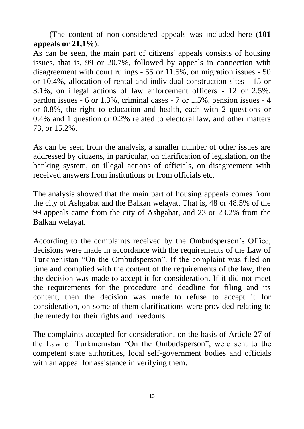(The content of non-considered appeals was included here (**101 appeals or 21,1%**):

As can be seen, the main part of citizens' appeals consists of housing issues, that is, 99 or 20.7%, followed by appeals in connection with disagreement with court rulings - 55 or 11.5%, on migration issues - 50 or 10.4%, allocation of rental and individual construction sites - 15 or 3.1%, on illegal actions of law enforcement officers - 12 or 2.5%, pardon issues - 6 or 1.3%, criminal cases - 7 or 1.5%, pension issues - 4 or 0.8%, the right to education and health, each with 2 questions or 0.4% and 1 question or 0.2% related to electoral law, and other matters 73, or 15.2%.

As can be seen from the analysis, a smaller number of other issues are addressed by citizens, in particular, on clarification of legislation, on the banking system, on illegal actions of officials, on disagreement with received answers from institutions or from officials etc.

The analysis showed that the main part of housing appeals comes from the city of Ashgabat and the Balkan welayat. That is, 48 or 48.5% of the 99 appeals came from the city of Ashgabat, and 23 or 23.2% from the Balkan welayat.

According to the complaints received by the Ombudsperson's Office, decisions were made in accordance with the requirements of the Law of Turkmenistan "On the Ombudsperson". If the complaint was filed on time and complied with the content of the requirements of the law, then the decision was made to accept it for consideration. If it did not meet the requirements for the procedure and deadline for filing and its content, then the decision was made to refuse to accept it for consideration, on some of them clarifications were provided relating to the remedy for their rights and freedoms.

The complaints accepted for consideration, on the basis of Article 27 of the Law of Turkmenistan "On the Ombudsperson", were sent to the competent state authorities, local self-government bodies and officials with an appeal for assistance in verifying them.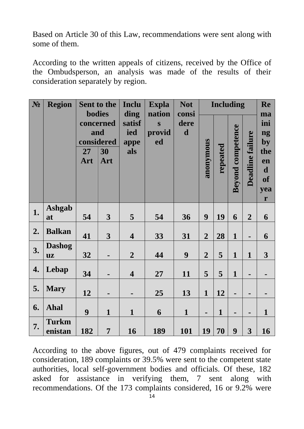Based on Article 30 of this Law, recommendations were sent along with some of them.

According to the written appeals of citizens, received by the Office of the Ombudsperson, an analysis was made of the results of their consideration separately by region.

| $N_2$ | <b>Region</b>              |           | Sent to the                                                  | <b>Inclu</b>                         | <b>Expla</b>                                      | <b>Not</b>                   |                | <b>Including</b> |                          |                         | Re                                                                  |
|-------|----------------------------|-----------|--------------------------------------------------------------|--------------------------------------|---------------------------------------------------|------------------------------|----------------|------------------|--------------------------|-------------------------|---------------------------------------------------------------------|
|       |                            | 27<br>Art | <b>bodies</b><br>concerned<br>and<br>considered<br>30<br>Art | ding<br>satisf<br>ied<br>appe<br>als | nation<br>$\overline{\mathbf{S}}$<br>provid<br>ed | consi<br>dere<br>$\mathbf d$ | anonymous      | repeated         | <b>Beyond competence</b> | <b>Deadline failure</b> | ma<br>ini<br>ng<br>by<br>the<br>en<br>$\mathbf d$<br>of<br>yea<br>r |
| 1.    | <b>Ashgab</b><br>at        | 54        | $\mathbf{3}$                                                 | 5                                    | 54                                                | 36                           | 9              | 19               | 6                        | $\overline{2}$          | 6                                                                   |
| 2.    | <b>Balkan</b>              | 41        | 3                                                            | $\overline{\mathbf{4}}$              | 33                                                | 31                           | $\overline{2}$ | 28               | $\mathbf{1}$             | $\blacksquare$          | 6                                                                   |
| 3.    | <b>Dashog</b><br><b>uz</b> | 32        |                                                              | $\overline{2}$                       | 44                                                | 9                            | $\overline{2}$ | 5                | $\mathbf{1}$             | $\mathbf{1}$            | 3                                                                   |
| 4.    | Lebap                      | 34        |                                                              | $\overline{\mathbf{4}}$              | 27                                                | 11                           | 5              | 5                | $\mathbf{1}$             | -                       |                                                                     |
| 5.    | <b>Mary</b>                | 12        |                                                              | $\blacksquare$                       | 25                                                | 13                           | $\mathbf{1}$   | 12               | $\blacksquare$           | Ξ.                      |                                                                     |
| 6.    | <b>Ahal</b>                | 9         | $\mathbf{1}$                                                 | $\mathbf{1}$                         | 6                                                 | $\mathbf{1}$                 | $\blacksquare$ | $\mathbf{1}$     | $\blacksquare$           | -                       | $\mathbf{1}$                                                        |
| 7.    | <b>Turkm</b><br>enistan    | 182       | $\overline{7}$                                               | 16                                   | 189                                               | 101                          | 19             | 70               | 9                        | 3                       | 16                                                                  |

According to the above figures, out of 479 complaints received for consideration, 189 complaints or 39.5% were sent to the competent state authorities, local self-government bodies and officials. Of these, 182 asked for assistance in verifying them, 7 sent along with recommendations. Of the 173 complaints considered, 16 or 9.2% were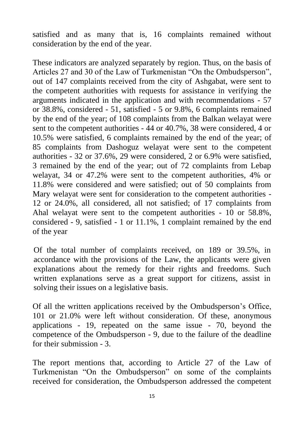satisfied and as many that is, 16 complaints remained without consideration by the end of the year.

These indicators are analyzed separately by region. Thus, on the basis of Articles 27 and 30 of the Law of Turkmenistan "On the Ombudsperson", out of 147 complaints received from the city of Ashgabat, were sent to the competent authorities with requests for assistance in verifying the arguments indicated in the application and with recommendations - 57 or 38.8%, considered - 51, satisfied - 5 or 9.8%, 6 complaints remained by the end of the year; of 108 complaints from the Balkan welayat were sent to the competent authorities - 44 or 40.7%, 38 were considered, 4 or 10.5% were satisfied, 6 complaints remained by the end of the year; of 85 complaints from Dashoguz welayat were sent to the competent authorities - 32 or 37.6%, 29 were considered, 2 or 6.9% were satisfied, 3 remained by the end of the year; out of 72 complaints from Lebap welayat, 34 or 47.2% were sent to the competent authorities, 4% or 11.8% were considered and were satisfied; out of 50 complaints from Mary welayat were sent for consideration to the competent authorities - 12 or 24.0%, all considered, all not satisfied; of 17 complaints from Ahal welayat were sent to the competent authorities - 10 or 58.8%, considered - 9, satisfied - 1 or 11.1%, 1 complaint remained by the end of the year

Of the total number of complaints received, on 189 or 39.5%, in accordance with the provisions of the Law, the applicants were given explanations about the remedy for their rights and freedoms. Such written explanations serve as a great support for citizens, assist in solving their issues on a legislative basis.

Of all the written applications received by the Ombudsperson's Office, 101 or 21.0% were left without consideration. Of these, anonymous applications - 19, repeated on the same issue - 70, beyond the competence of the Ombudsperson - 9, due to the failure of the deadline for their submission - 3.

The report mentions that, according to Article 27 of the Law of Turkmenistan "On the Ombudsperson" on some of the complaints received for consideration, the Ombudsperson addressed the competent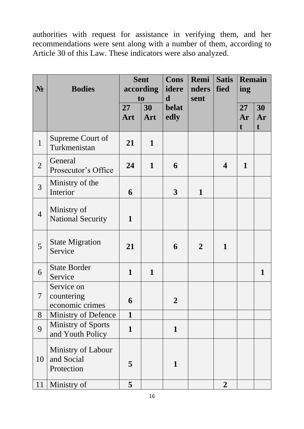authorities with request for assistance in verifying them, and her recommendations were sent along with a number of them, according to Article 30 of this Law. These indicators were also analyzed.

| $N_2$          | <b>Bodies</b>                                  | <b>Sent</b><br>according<br>to |              | <b>Cons</b><br>idere<br>$\mathbf d$ | Remi<br>nders<br>sent | <b>Satis</b><br>fied | ing           | Remain                  |  |
|----------------|------------------------------------------------|--------------------------------|--------------|-------------------------------------|-----------------------|----------------------|---------------|-------------------------|--|
|                |                                                | 27<br>Art                      | 30<br>Art    | <b>belat</b><br>edly                |                       |                      | 27<br>Ar<br>t | 30<br>Ar<br>$\mathbf t$ |  |
| $\mathbf{1}$   | Supreme Court of<br>Turkmenistan               | 21                             | $\mathbf{1}$ |                                     |                       |                      |               |                         |  |
| $\overline{2}$ | General<br>Prosecutor's Office                 | 24                             | $\mathbf{1}$ | 6                                   |                       | 4                    | $\mathbf{1}$  |                         |  |
| $\overline{3}$ | Ministry of the<br>Interior                    | 6                              |              | $\mathbf{3}$                        | $\mathbf{1}$          |                      |               |                         |  |
| $\overline{4}$ | Ministry of<br><b>National Security</b>        | $\mathbf{1}$                   |              |                                     |                       |                      |               |                         |  |
| 5              | <b>State Migration</b><br>Service              | 21                             |              | 6                                   | $\overline{2}$        | 1                    |               |                         |  |
| 6              | <b>State Border</b><br>Service                 | $\mathbf{1}$                   | $\mathbf{1}$ |                                     |                       |                      |               | 1                       |  |
| 7              | Service on<br>countering<br>economic crimes    | 6                              |              | $\mathbf 2$                         |                       |                      |               |                         |  |
| 8              | Ministry of Defence                            | $\mathbf{1}$                   |              |                                     |                       |                      |               |                         |  |
| 9              | <b>Ministry of Sports</b><br>and Youth Policy  | $\mathbf{1}$                   |              | $\mathbf{1}$                        |                       |                      |               |                         |  |
| 10             | Ministry of Labour<br>and Social<br>Protection | 5                              |              | 1                                   |                       |                      |               |                         |  |
| 11             | Ministry of                                    | 5                              |              |                                     |                       | $\overline{2}$       |               |                         |  |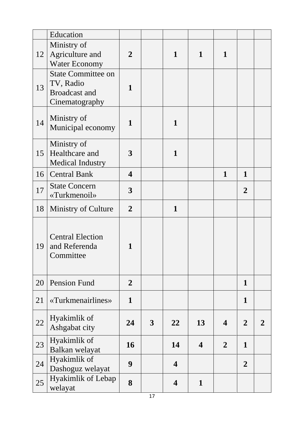|    | Education                                                                        |                         |                |                         |                         |                  |                |                |
|----|----------------------------------------------------------------------------------|-------------------------|----------------|-------------------------|-------------------------|------------------|----------------|----------------|
| 12 | Ministry of<br>Agriculture and<br><b>Water Economy</b>                           | $\overline{2}$          |                | $\mathbf{1}$            | $\mathbf{1}$            | 1                |                |                |
| 13 | <b>State Committee on</b><br>TV, Radio<br><b>Broadcast and</b><br>Cinematography | 1                       |                |                         |                         |                  |                |                |
| 14 | Ministry of<br>Municipal economy                                                 | $\mathbf{1}$            |                | $\mathbf{1}$            |                         |                  |                |                |
| 15 | Ministry of<br>Healthcare and<br><b>Medical Industry</b>                         | 3                       |                | $\mathbf{1}$            |                         |                  |                |                |
| 16 | <b>Central Bank</b>                                                              | $\overline{\mathbf{4}}$ |                |                         |                         | $\mathbf{1}$     | $\mathbf{1}$   |                |
| 17 | <b>State Concern</b><br>«Turkmenoil»                                             | $\mathbf{3}$            |                |                         |                         |                  | $\overline{2}$ |                |
| 18 | Ministry of Culture                                                              | $\overline{2}$          |                | $\mathbf{1}$            |                         |                  |                |                |
| 19 | <b>Central Election</b><br>and Referenda<br>Committee                            | 1                       |                |                         |                         |                  |                |                |
| 20 | Pension Fund                                                                     | $\overline{2}$          |                |                         |                         |                  | $\mathbf{1}$   |                |
| 21 | «Turkmenairlines»                                                                | $\mathbf{1}$            |                |                         |                         |                  | $\mathbf{1}$   |                |
| 22 | Hyakimlik of<br>Ashgabat city                                                    | 24                      | $\overline{3}$ | 22                      | 13                      | $\boldsymbol{4}$ | $\overline{2}$ | $\overline{2}$ |
| 23 | Hyakimlik of<br>Balkan welayat                                                   | 16                      |                | 14                      | $\overline{\mathbf{4}}$ | $\overline{2}$   | $\mathbf{1}$   |                |
| 24 | Hyakimlik of<br>Dashoguz welayat                                                 | 9                       |                | 4                       |                         |                  | $\overline{2}$ |                |
| 25 | <b>Hyakimlik of Lebap</b><br>welayat                                             | 8                       |                | $\overline{\mathbf{4}}$ | $\mathbf{1}$            |                  |                |                |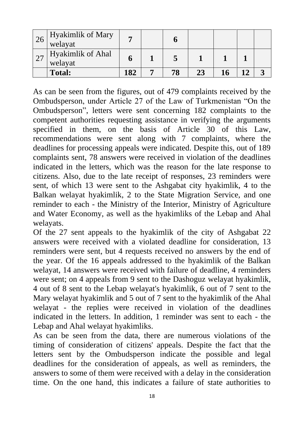| 26 | Hyakimlik of Mary<br>welayat |     |    |  |  |
|----|------------------------------|-----|----|--|--|
|    | Hyakimlik of Ahal<br>welayat |     |    |  |  |
|    | <b>Total:</b>                | 182 | 78 |  |  |

As can be seen from the figures, out of 479 complaints received by the Ombudsperson, under Article 27 of the Law of Turkmenistan "On the Ombudsperson", letters were sent concerning 182 complaints to the competent authorities requesting assistance in verifying the arguments specified in them, on the basis of Article 30 of this Law, recommendations were sent along with 7 complaints, where the deadlines for processing appeals were indicated. Despite this, out of 189 complaints sent, 78 answers were received in violation of the deadlines indicated in the letters, which was the reason for the late response to citizens. Also, due to the late receipt of responses, 23 reminders were sent, of which 13 were sent to the Ashgabat city hyakimlik, 4 to the Balkan welayat hyakimlik, 2 to the State Migration Service, and one reminder to each - the Ministry of the Interior, Ministry of Agriculture and Water Economy, as well as the hyakimliks of the Lebap and Ahal welayats.

Of the 27 sent appeals to the hyakimlik of the city of Ashgabat 22 answers were received with a violated deadline for consideration, 13 reminders were sent, but 4 requests received no answers by the end of the year. Of the 16 appeals addressed to the hyakimlik of the Balkan welayat, 14 answers were received with failure of deadline, 4 reminders were sent; on 4 appeals from 9 sent to the Dashoguz welayat hyakimlik, 4 out of 8 sent to the Lebap welayat's hyakimlik, 6 out of 7 sent to the Mary welayat hyakimlik and 5 out of 7 sent to the hyakimlik of the Ahal welayat - the replies were received in violation of the deadlines indicated in the letters. In addition, 1 reminder was sent to each - the Lebap and Ahal welayat hyakimliks.

As can be seen from the data, there are numerous violations of the timing of consideration of citizens' appeals. Despite the fact that the letters sent by the Ombudsperson indicate the possible and legal deadlines for the consideration of appeals, as well as reminders, the answers to some of them were received with a delay in the consideration time. On the one hand, this indicates a failure of state authorities to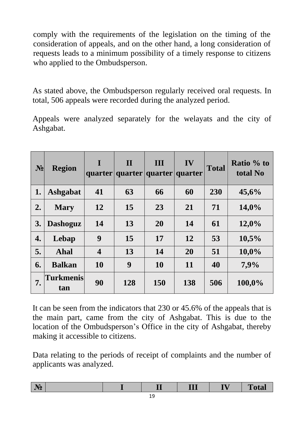comply with the requirements of the legislation on the timing of the consideration of appeals, and on the other hand, a long consideration of requests leads to a minimum possibility of a timely response to citizens who applied to the Ombudsperson.

As stated above, the Ombudsperson regularly received oral requests. In total, 506 appeals were recorded during the analyzed period.

Appeals were analyzed separately for the welayats and the city of Ashgabat.

| $N_2$ | <b>Region</b>           | $\bf{I}$                | $\mathbf{I}$<br>quarter quarter quarter quarter | III       | IV  | <b>Total</b> | Ratio % to<br>total No |
|-------|-------------------------|-------------------------|-------------------------------------------------|-----------|-----|--------------|------------------------|
| 1.    | Ashgabat                | 41                      | 63                                              | 66        | 60  | 230          | 45,6%                  |
| 2.    | <b>Mary</b>             | 12                      | 15                                              | 23        | 21  | 71           | 14,0%                  |
| 3.    | <b>Dashoguz</b>         | 14                      | 13                                              | 20        | 14  | 61           | 12,0%                  |
| 4.    | Lebap                   | 9                       | 15                                              | 17        | 12  | 53           | 10,5%                  |
| 5.    | Ahal                    | $\overline{\mathbf{4}}$ | 13                                              | 14        | 20  | 51           | 10,0%                  |
| 6.    | <b>Balkan</b>           | 10                      | 9                                               | <b>10</b> | 11  | 40           | 7,9%                   |
| 7.    | <b>Turkmenis</b><br>tan | 90                      | 128                                             | 150       | 138 | 506          | 100,0%                 |

It can be seen from the indicators that 230 or 45.6% of the appeals that is the main part, came from the city of Ashgabat. This is due to the location of the Ombudsperson's Office in the city of Ashgabat, thereby making it accessible to citizens.

Data relating to the periods of receipt of complaints and the number of applicants was analyzed.

| T Ocal<br>. <b>.</b> .<br>---<br>-- |
|-------------------------------------|
|-------------------------------------|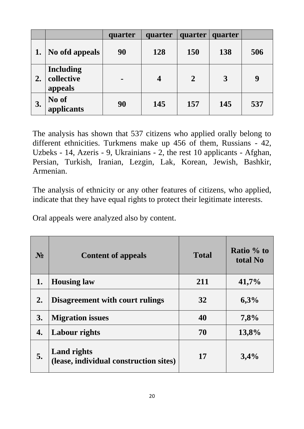|    |                                           | quarter        | quarter          | quarter        | quarter |     |
|----|-------------------------------------------|----------------|------------------|----------------|---------|-----|
|    | No ofd appeals                            | 90             | 128              | <b>150</b>     | 138     | 506 |
| 2. | <b>Including</b><br>collective<br>appeals | $\blacksquare$ | $\boldsymbol{4}$ | $\overline{2}$ | 3       | 9   |
| 3. | No of<br>applicants                       | 90             | 145              | 157            | 145     | 537 |

The analysis has shown that 537 citizens who applied orally belong to different ethnicities. Turkmens make up 456 of them, Russians - 42, Uzbeks - 14, Azeris - 9, Ukrainians - 2, the rest 10 applicants - Afghan, Persian, Turkish, Iranian, Lezgin, Lak, Korean, Jewish, Bashkir, Armenian.

The analysis of ethnicity or any other features of citizens, who applied, indicate that they have equal rights to protect their legitimate interests.

Oral appeals were analyzed also by content.

| N <sub>2</sub> | <b>Content of appeals</b>                                    | <b>Total</b> | Ratio % to<br>total No |
|----------------|--------------------------------------------------------------|--------------|------------------------|
| 1.             | <b>Housing law</b>                                           | 211          | 41,7%                  |
| 2.             | <b>Disagreement with court rulings</b>                       | 32           | 6,3%                   |
| 3.             | <b>Migration issues</b>                                      | 40           | 7,8%                   |
| 4.             | Labour rights                                                | 70           | 13,8%                  |
| 5.             | <b>Land rights</b><br>(lease, individual construction sites) | 17           | 3,4%                   |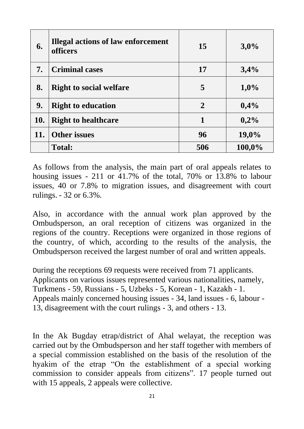| 6.  | <b>Illegal actions of law enforcement</b><br><b>officers</b> | 15             | 3,0%    |
|-----|--------------------------------------------------------------|----------------|---------|
| 7.  | <b>Criminal cases</b>                                        | 17             | 3,4%    |
| 8.  | <b>Right to social welfare</b>                               | 5              | $1,0\%$ |
| 9.  | <b>Right to education</b>                                    | $\overline{2}$ | 0,4%    |
| 10. | <b>Right to healthcare</b>                                   | $\mathbf{1}$   | 0,2%    |
| 11. | <b>Other issues</b>                                          | 96             | 19,0%   |
|     | <b>Total:</b>                                                | 506            | 100,0%  |

As follows from the analysis, the main part of oral appeals relates to housing issues - 211 or 41.7% of the total, 70% or 13.8% to labour issues, 40 or 7.8% to migration issues, and disagreement with court rulings. - 32 or 6.3%.

Also, in accordance with the annual work plan approved by the Ombudsperson, an oral reception of citizens was organized in the regions of the country. Receptions were organized in those regions of the country, of which, according to the results of the analysis, the Ombudsperson received the largest number of oral and written appeals.

During the receptions 69 requests were received from 71 applicants. Applicants on various issues represented various nationalities, namely, Turkmens - 59, Russians - 5, Uzbeks - 5, Korean - 1, Kazakh - 1. Appeals mainly concerned housing issues - 34, land issues - 6, labour - 13, disagreement with the court rulings - 3, and others - 13.

In the Ak Bugday etrap/district of Ahal welayat, the reception was carried out by the Ombudsperson and her staff together with members of a special commission established on the basis of the resolution of the hyakim of the etrap "On the establishment of a special working commission to consider appeals from citizens". 17 people turned out with 15 appeals, 2 appeals were collective.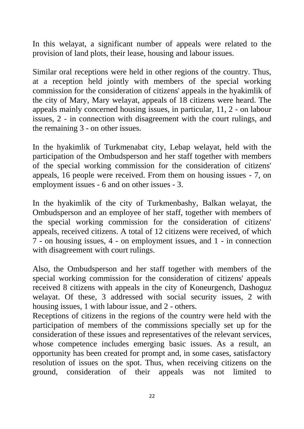In this welayat, a significant number of appeals were related to the provision of land plots, their lease, housing and labour issues.

Similar oral receptions were held in other regions of the country. Thus, at a reception held jointly with members of the special working commission for the consideration of citizens' appeals in the hyakimlik of the city of Mary, Mary welayat, appeals of 18 citizens were heard. The appeals mainly concerned housing issues, in particular, 11, 2 - on labour issues, 2 - in connection with disagreement with the court rulings, and the remaining 3 - on other issues.

In the hyakimlik of Turkmenabat city, Lebap welayat, held with the participation of the Ombudsperson and her staff together with members of the special working commission for the consideration of citizens' appeals, 16 people were received. From them on housing issues - 7, on employment issues - 6 and on other issues - 3.

In the hyakimlik of the city of Turkmenbashy, Balkan welayat, the Ombudsperson and an employee of her staff, together with members of the special working commission for the consideration of citizens' appeals, received citizens. A total of 12 citizens were received, of which 7 - on housing issues, 4 - on employment issues, and 1 - in connection with disagreement with court rulings.

Also, the Ombudsperson and her staff together with members of the special working commission for the consideration of citizens' appeals received 8 citizens with appeals in the city of Koneurgench, Dashoguz welayat. Of these, 3 addressed with social security issues, 2 with housing issues, 1 with labour issue, and 2 - others.

Receptions of citizens in the regions of the country were held with the participation of members of the commissions specially set up for the consideration of these issues and representatives of the relevant services, whose competence includes emerging basic issues. As a result, an opportunity has been created for prompt and, in some cases, satisfactory resolution of issues on the spot. Thus, when receiving citizens on the ground, consideration of their appeals was not limited to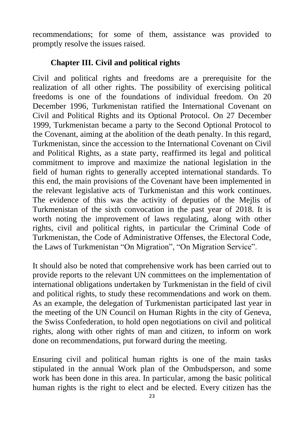recommendations; for some of them, assistance was provided to promptly resolve the issues raised.

#### **Chapter III. Civil and political rights**

Civil and political rights and freedoms are a prerequisite for the realization of all other rights. The possibility of exercising political freedoms is one of the foundations of individual freedom. On 20 December 1996, Turkmenistan ratified the International Covenant on Civil and Political Rights and its Optional Protocol. On 27 December 1999, Turkmenistan became a party to the Second Optional Protocol to the Covenant, aiming at the abolition of the death penalty. In this regard, Turkmenistan, since the accession to the International Covenant on Civil and Political Rights, as a state party, reaffirmed its legal and political commitment to improve and maximize the national legislation in the field of human rights to generally accepted international standards. To this end, the main provisions of the Covenant have been implemented in the relevant legislative acts of Turkmenistan and this work continues. The evidence of this was the activity of deputies of the Mejlis of Turkmenistan of the sixth convocation in the past year of 2018. It is worth noting the improvement of laws regulating, along with other rights, civil and political rights, in particular the Criminal Code of Turkmenistan, the Code of Administrative Offenses, the Electoral Code, the Laws of Turkmenistan "On Migration", "On Migration Service".

It should also be noted that comprehensive work has been carried out to provide reports to the relevant UN committees on the implementation of international obligations undertaken by Turkmenistan in the field of civil and political rights, to study these recommendations and work on them. As an example, the delegation of Turkmenistan participated last year in the meeting of the UN Council on Human Rights in the city of Geneva, the Swiss Confederation, to hold open negotiations on civil and political rights, along with other rights of man and citizen, to inform on work done on recommendations, put forward during the meeting.

Ensuring civil and political human rights is one of the main tasks stipulated in the annual Work plan of the Ombudsperson, and some work has been done in this area. In particular, among the basic political human rights is the right to elect and be elected. Every citizen has the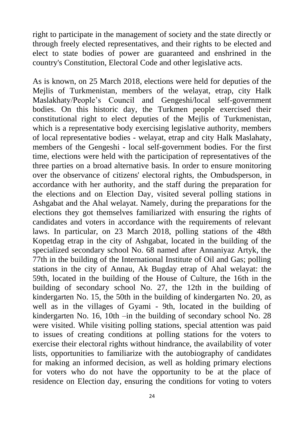right to participate in the management of society and the state directly or through freely elected representatives, and their rights to be elected and elect to state bodies of power are guaranteed and enshrined in the country's Constitution, Electoral Code and other legislative acts.

As is known, on 25 March 2018, elections were held for deputies of the Mejlis of Turkmenistan, members of the welayat, etrap, city Halk Maslakhaty/People's Council and Gengeshi/local self-government bodies. On this historic day, the Turkmen people exercised their constitutional right to elect deputies of the Mejlis of Turkmenistan, which is a representative body exercising legislative authority, members of local representative bodies - welayat, etrap and city Halk Maslahaty, members of the Gengeshi - local self-government bodies. For the first time, elections were held with the participation of representatives of the three parties on a broad alternative basis. In order to ensure monitoring over the observance of citizens' electoral rights, the Ombudsperson, in accordance with her authority, and the staff during the preparation for the elections and on Election Day, visited several polling stations in Ashgabat and the Ahal welayat. Namely, during the preparations for the elections they got themselves familiarized with ensuring the rights of candidates and voters in accordance with the requirements of relevant laws. In particular, on 23 March 2018, polling stations of the 48th Kopetdag etrap in the city of Ashgabat, located in the building of the specialized secondary school No. 68 named after Annaniyaz Artyk, the 77th in the building of the International Institute of Oil and Gas; polling stations in the city of Annau, Ak Bugday etrap of Ahal welayat: the 59th, located in the building of the House of Culture, the 16th in the building of secondary school No. 27, the 12th in the building of kindergarten No. 15, the 50th in the building of kindergarten No. 20, as well as in the villages of Gyami - 9th, located in the building of kindergarten No. 16, 10th –in the building of secondary school No. 28 were visited. While visiting polling stations, special attention was paid to issues of creating conditions at polling stations for the voters to exercise their electoral rights without hindrance, the availability of voter lists, opportunities to familiarize with the autobiography of candidates for making an informed decision, as well as holding primary elections for voters who do not have the opportunity to be at the place of residence on Election day, ensuring the conditions for voting to voters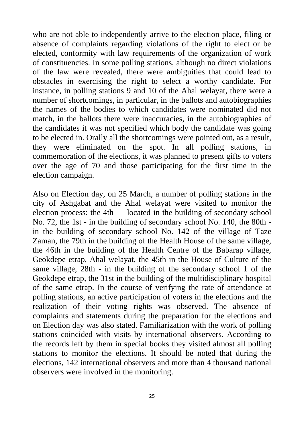who are not able to independently arrive to the election place, filing or absence of complaints regarding violations of the right to elect or be elected, conformity with law requirements of the organization of work of constituencies. In some polling stations, although no direct violations of the law were revealed, there were ambiguities that could lead to obstacles in exercising the right to select a worthy candidate. For instance, in polling stations 9 and 10 of the Ahal welayat, there were a number of shortcomings, in particular, in the ballots and autobiographies the names of the bodies to which candidates were nominated did not match, in the ballots there were inaccuracies, in the autobiographies of the candidates it was not specified which body the candidate was going to be elected in. Orally all the shortcomings were pointed out, as a result, they were eliminated on the spot. In all polling stations, in commemoration of the elections, it was planned to present gifts to voters over the age of 70 and those participating for the first time in the election campaign.

Also on Election day, on 25 March, a number of polling stations in the city of Ashgabat and the Ahal welayat were visited to monitor the election process: the 4th — located in the building of secondary school No. 72, the 1st - in the building of secondary school No. 140, the 80th in the building of secondary school No. 142 of the village of Taze Zaman, the 79th in the building of the Health House of the same village, the 46th in the building of the Health Centre of the Babarap village, Geokdepe etrap, Ahal welayat, the 45th in the House of Culture of the same village, 28th - in the building of the secondary school 1 of the Geokdepe etrap, the 31st in the building of the multidisciplinary hospital of the same etrap. In the course of verifying the rate of attendance at polling stations, an active participation of voters in the elections and the realization of their voting rights was observed. The absence of complaints and statements during the preparation for the elections and on Election day was also stated. Familiarization with the work of polling stations coincided with visits by international observers. According to the records left by them in special books they visited almost all polling stations to monitor the elections. It should be noted that during the elections, 142 international observers and more than 4 thousand national observers were involved in the monitoring.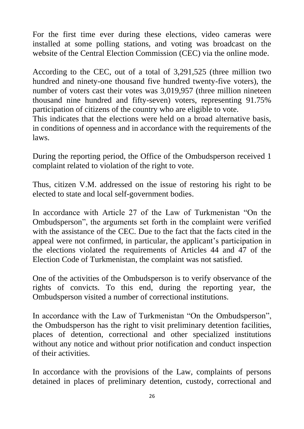For the first time ever during these elections, video cameras were installed at some polling stations, and voting was broadcast on the website of the Central Election Commission (CEC) via the online mode.

According to the CEC, out of a total of 3,291,525 (three million two hundred and ninety-one thousand five hundred twenty-five voters), the number of voters cast their votes was 3,019,957 (three million nineteen thousand nine hundred and fifty-seven) voters, representing 91.75% participation of citizens of the country who are eligible to vote.

This indicates that the elections were held on a broad alternative basis, in conditions of openness and in accordance with the requirements of the laws.

During the reporting period, the Office of the Ombudsperson received 1 complaint related to violation of the right to vote.

Thus, citizen V.M. addressed on the issue of restoring his right to be elected to state and local self-government bodies.

In accordance with Article 27 of the Law of Turkmenistan "On the Ombudsperson", the arguments set forth in the complaint were verified with the assistance of the CEC. Due to the fact that the facts cited in the appeal were not confirmed, in particular, the applicant's participation in the elections violated the requirements of Articles 44 and 47 of the Election Code of Turkmenistan, the complaint was not satisfied.

One of the activities of the Ombudsperson is to verify observance of the rights of convicts. To this end, during the reporting year, the Ombudsperson visited a number of correctional institutions.

In accordance with the Law of Turkmenistan "On the Ombudsperson", the Ombudsperson has the right to visit preliminary detention facilities, places of detention, correctional and other specialized institutions without any notice and without prior notification and conduct inspection of their activities.

In accordance with the provisions of the Law, complaints of persons detained in places of preliminary detention, custody, correctional and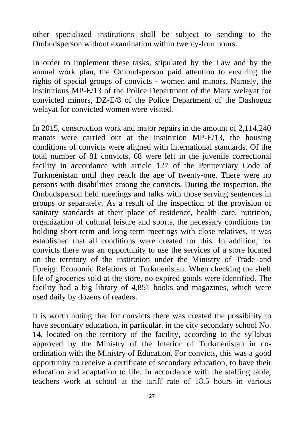other specialized institutions shall be subject to sending to the Ombudsperson without examination within twenty-four hours.

In order to implement these tasks, stipulated by the Law and by the annual work plan, the Ombudsperson paid attention to ensuring the rights of special groups of convicts - women and minors. Namely, the institutions MP-E/13 of the Police Department of the Mary welayat for convicted minors, DZ-E/8 of the Police Department of the Dashoguz welayat for convicted women were visited.

In 2015, construction work and major repairs in the amount of 2,114,240 manats were carried out at the institution MP-E/13, the housing conditions of convicts were aligned with international standards. Of the total number of 81 convicts, 68 were left in the juvenile correctional facility in accordance with article 127 of the Penitentiary Code of Turkmenistan until they reach the age of twenty-one. There were no persons with disabilities among the convicts. During the inspection, the Ombudsperson held meetings and talks with those serving sentences in groups or separately. As a result of the inspection of the provision of sanitary standards at their place of residence, health care, nutrition, organization of cultural leisure and sports, the necessary conditions for holding short-term and long-term meetings with close relatives, it was established that all conditions were created for this. In addition, for convicts there was an opportunity to use the services of a store located on the territory of the institution under the Ministry of Trade and Foreign Economic Relations of Turkmenistan. When checking the shelf life of groceries sold at the store, no expired goods were identified. The facility had a big library of 4,851 books and magazines, which were used daily by dozens of readers.

It is worth noting that for convicts there was created the possibility to have secondary education, in particular, in the city secondary school No. 14, located on the territory of the facility, according to the syllabus approved by the Ministry of the Interior of Turkmenistan in coordination with the Ministry of Education. For convicts, this was a good opportunity to receive a certificate of secondary education, to have their education and adaptation to life. In accordance with the staffing table, teachers work at school at the tariff rate of 18.5 hours in various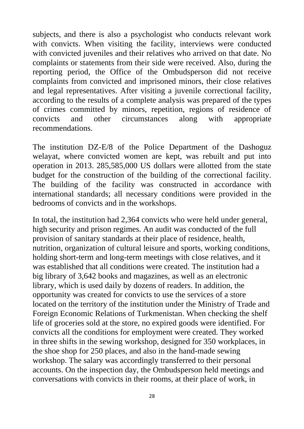subjects, and there is also a psychologist who conducts relevant work with convicts. When visiting the facility, interviews were conducted with convicted juveniles and their relatives who arrived on that date. No complaints or statements from their side were received. Also, during the reporting period, the Office of the Ombudsperson did not receive complaints from convicted and imprisoned minors, their close relatives and legal representatives. After visiting a juvenile correctional facility, according to the results of a complete analysis was prepared of the types of crimes committed by minors, repetition, regions of residence of convicts and other circumstances along with appropriate recommendations.

The institution DZ-E/8 of the Police Department of the Dashoguz welayat, where convicted women are kept, was rebuilt and put into operation in 2013. 285,585,000 US dollars were allotted from the state budget for the construction of the building of the correctional facility. The building of the facility was constructed in accordance with international standards; all necessary conditions were provided in the bedrooms of convicts and in the workshops.

In total, the institution had 2,364 convicts who were held under general, high security and prison regimes. An audit was conducted of the full provision of sanitary standards at their place of residence, health, nutrition, organization of cultural leisure and sports, working conditions, holding short-term and long-term meetings with close relatives, and it was established that all conditions were created. The institution had a big library of 3,642 books and magazines, as well as an electronic library, which is used daily by dozens of readers. In addition, the opportunity was created for convicts to use the services of a store located on the territory of the institution under the Ministry of Trade and Foreign Economic Relations of Turkmenistan. When checking the shelf life of groceries sold at the store, no expired goods were identified. For convicts all the conditions for employment were created. They worked in three shifts in the sewing workshop, designed for 350 workplaces, in the shoe shop for 250 places, and also in the hand-made sewing workshop. The salary was accordingly transferred to their personal accounts. On the inspection day, the Ombudsperson held meetings and conversations with convicts in their rooms, at their place of work, in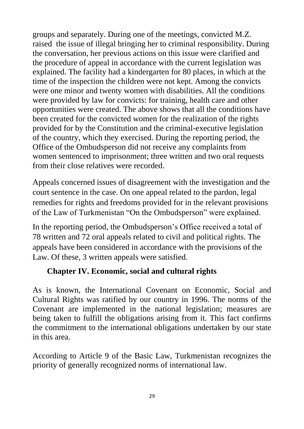groups and separately. During one of the meetings, convicted M.Z. raised the issue of illegal bringing her to criminal responsibility. During the conversation, her previous actions on this issue were clarified and the procedure of appeal in accordance with the current legislation was explained. The facility had a kindergarten for 80 places, in which at the time of the inspection the children were not kept. Among the convicts were one minor and twenty women with disabilities. All the conditions were provided by law for convicts: for training, health care and other opportunities were created. The above shows that all the conditions have been created for the convicted women for the realization of the rights provided for by the Constitution and the criminal-executive legislation of the country, which they exercised. During the reporting period, the Office of the Ombudsperson did not receive any complaints from women sentenced to imprisonment; three written and two oral requests from their close relatives were recorded.

Appeals concerned issues of disagreement with the investigation and the court sentence in the case. On one appeal related to the pardon, legal remedies for rights and freedoms provided for in the relevant provisions of the Law of Turkmenistan "On the Ombudsperson" were explained.

In the reporting period, the Ombudsperson's Office received a total of 78 written and 72 oral appeals related to civil and political rights. The appeals have been considered in accordance with the provisions of the Law. Of these, 3 written appeals were satisfied.

#### **Chapter IV. Economic, social and cultural rights**

As is known, the International Covenant on Economic, Social and Cultural Rights was ratified by our country in 1996. The norms of the Covenant are implemented in the national legislation; measures are being taken to fulfill the obligations arising from it. This fact confirms the commitment to the international obligations undertaken by our state in this area.

According to Article 9 of the Basic Law, Turkmenistan recognizes the priority of generally recognized norms of international law.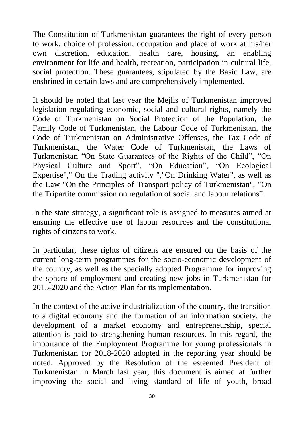The Constitution of Turkmenistan guarantees the right of every person to work, choice of profession, occupation and place of work at his/her own discretion, education, health care, housing, an enabling environment for life and health, recreation, participation in cultural life, social protection. These guarantees, stipulated by the Basic Law, are enshrined in certain laws and are comprehensively implemented.

It should be noted that last year the Mejlis of Turkmenistan improved legislation regulating economic, social and cultural rights, namely the Code of Turkmenistan on Social Protection of the Population, the Family Code of Turkmenistan, the Labour Code of Turkmenistan, the Code of Turkmenistan on Administrative Offenses, the Tax Code of Turkmenistan, the Water Code of Turkmenistan, the Laws of Turkmenistan "On State Guarantees of the Rights of the Child", "On Physical Culture and Sport", "On Education", "On Ecological Expertise"," On the Trading activity ","On Drinking Water", as well as the Law "On the Principles of Transport policy of Turkmenistan", "On the Tripartite commission on regulation of social and labour relations".

In the state strategy, a significant role is assigned to measures aimed at ensuring the effective use of labour resources and the constitutional rights of citizens to work.

In particular, these rights of citizens are ensured on the basis of the current long-term programmes for the socio-economic development of the country, as well as the specially adopted Programme for improving the sphere of employment and creating new jobs in Turkmenistan for 2015-2020 and the Action Plan for its implementation.

In the context of the active industrialization of the country, the transition to a digital economy and the formation of an information society, the development of a market economy and entrepreneurship, special attention is paid to strengthening human resources. In this regard, the importance of the Employment Programme for young professionals in Turkmenistan for 2018-2020 adopted in the reporting year should be noted. Approved by the Resolution of the esteemed President of Turkmenistan in March last year, this document is aimed at further improving the social and living standard of life of youth, broad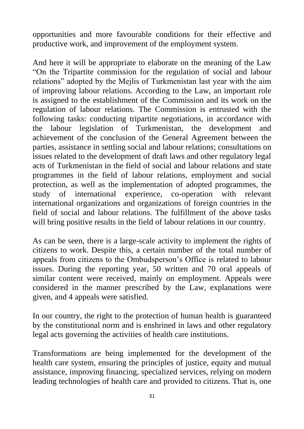opportunities and more favourable conditions for their effective and productive work, and improvement of the employment system.

And here it will be appropriate to elaborate on the meaning of the Law "On the Tripartite commission for the regulation of social and labour relations" adopted by the Mejlis of Turkmenistan last year with the aim of improving labour relations. According to the Law, an important role is assigned to the establishment of the Commission and its work on the regulation of labour relations. The Commission is entrusted with the following tasks: conducting tripartite negotiations, in accordance with the labour legislation of Turkmenistan, the development and achievement of the conclusion of the General Agreement between the parties, assistance in settling social and labour relations; consultations on issues related to the development of draft laws and other regulatory legal acts of Turkmenistan in the field of social and labour relations and state programmes in the field of labour relations, employment and social protection, as well as the implementation of adopted programmes, the study of international experience, co-operation with relevant international organizations and organizations of foreign countries in the field of social and labour relations. The fulfillment of the above tasks will bring positive results in the field of labour relations in our country.

As can be seen, there is a large-scale activity to implement the rights of citizens to work. Despite this, a certain number of the total number of appeals from citizens to the Ombudsperson's Office is related to labour issues. During the reporting year, 50 written and 70 oral appeals of similar content were received, mainly on employment. Appeals were considered in the manner prescribed by the Law, explanations were given, and 4 appeals were satisfied.

In our country, the right to the protection of human health is guaranteed by the constitutional norm and is enshrined in laws and other regulatory legal acts governing the activities of health care institutions.

Transformations are being implemented for the development of the health care system, ensuring the principles of justice, equity and mutual assistance, improving financing, specialized services, relying on modern leading technologies of health care and provided to citizens. That is, one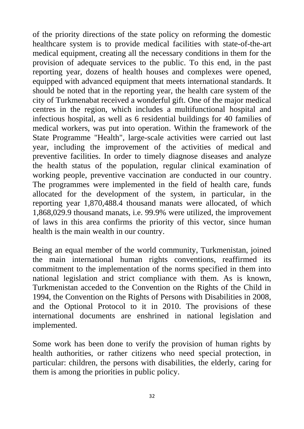of the priority directions of the state policy on reforming the domestic healthcare system is to provide medical facilities with state-of-the-art medical equipment, creating all the necessary conditions in them for the provision of adequate services to the public. To this end, in the past reporting year, dozens of health houses and complexes were opened, equipped with advanced equipment that meets international standards. It should be noted that in the reporting year, the health care system of the city of Turkmenabat received a wonderful gift. One of the major medical centres in the region, which includes a multifunctional hospital and infectious hospital, as well as 6 residential buildings for 40 families of medical workers, was put into operation. Within the framework of the State Programme "Health", large-scale activities were carried out last year, including the improvement of the activities of medical and preventive facilities. In order to timely diagnose diseases and analyze the health status of the population, regular clinical examination of working people, preventive vaccination are conducted in our country. The programmes were implemented in the field of health care, funds allocated for the development of the system, in particular, in the reporting year 1,870,488.4 thousand manats were allocated, of which 1,868,029.9 thousand manats, i.e. 99.9% were utilized, the improvement of laws in this area confirms the priority of this vector, since human health is the main wealth in our country.

Being an equal member of the world community, Turkmenistan, joined the main international human rights conventions, reaffirmed its commitment to the implementation of the norms specified in them into national legislation and strict compliance with them. As is known, Turkmenistan acceded to the Convention on the Rights of the Child in 1994, the Convention on the Rights of Persons with Disabilities in 2008, and the Optional Protocol to it in 2010. The provisions of these international documents are enshrined in national legislation and implemented.

Some work has been done to verify the provision of human rights by health authorities, or rather citizens who need special protection, in particular: children, the persons with disabilities, the elderly, caring for them is among the priorities in public policy.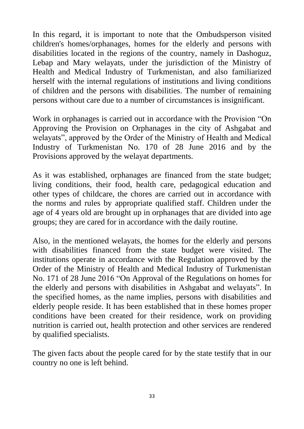In this regard, it is important to note that the Ombudsperson visited children's homes/orphanages, homes for the elderly and persons with disabilities located in the regions of the country, namely in Dashoguz, Lebap and Mary welayats, under the jurisdiction of the Ministry of Health and Medical Industry of Turkmenistan, and also familiarized herself with the internal regulations of institutions and living conditions of children and the persons with disabilities. The number of remaining persons without care due to a number of circumstances is insignificant.

Work in orphanages is carried out in accordance with the Provision "On Approving the Provision on Orphanages in the city of Ashgabat and welayats", approved by the Order of the Ministry of Health and Medical Industry of Turkmenistan No. 170 of 28 June 2016 and by the Provisions approved by the welayat departments.

As it was established, orphanages are financed from the state budget; living conditions, their food, health care, pedagogical education and other types of childcare, the chores are carried out in accordance with the norms and rules by appropriate qualified staff. Children under the age of 4 years old are brought up in orphanages that are divided into age groups; they are cared for in accordance with the daily routine.

Also, in the mentioned welayats, the homes for the elderly and persons with disabilities financed from the state budget were visited. The institutions operate in accordance with the Regulation approved by the Order of the Ministry of Health and Medical Industry of Turkmenistan No. 171 of 28 June 2016 "On Approval of the Regulations on homes for the elderly and persons with disabilities in Ashgabat and welayats". In the specified homes, as the name implies, persons with disabilities and elderly people reside. It has been established that in these homes proper conditions have been created for their residence, work on providing nutrition is carried out, health protection and other services are rendered by qualified specialists.

The given facts about the people cared for by the state testify that in our country no one is left behind.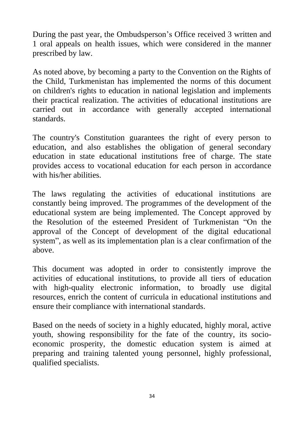During the past year, the Ombudsperson's Office received 3 written and 1 oral appeals on health issues, which were considered in the manner prescribed by law.

As noted above, by becoming a party to the Convention on the Rights of the Child, Turkmenistan has implemented the norms of this document on children's rights to education in national legislation and implements their practical realization. The activities of educational institutions are carried out in accordance with generally accepted international standards.

The country's Constitution guarantees the right of every person to education, and also establishes the obligation of general secondary education in state educational institutions free of charge. The state provides access to vocational education for each person in accordance with his/her abilities.

The laws regulating the activities of educational institutions are constantly being improved. The programmes of the development of the educational system are being implemented. The Concept approved by the Resolution of the esteemed President of Turkmenistan "On the approval of the Concept of development of the digital educational system", as well as its implementation plan is a clear confirmation of the above.

This document was adopted in order to consistently improve the activities of educational institutions, to provide all tiers of education with high-quality electronic information, to broadly use digital resources, enrich the content of curricula in educational institutions and ensure their compliance with international standards.

Based on the needs of society in a highly educated, highly moral, active youth, showing responsibility for the fate of the country, its socioeconomic prosperity, the domestic education system is aimed at preparing and training talented young personnel, highly professional, qualified specialists.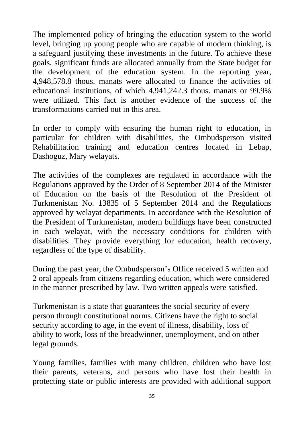The implemented policy of bringing the education system to the world level, bringing up young people who are capable of modern thinking, is a safeguard justifying these investments in the future. To achieve these goals, significant funds are allocated annually from the State budget for the development of the education system. In the reporting year, 4,948,578.8 thous. manats were allocated to finance the activities of educational institutions, of which 4,941,242.3 thous. manats or 99.9% were utilized. This fact is another evidence of the success of the transformations carried out in this area.

In order to comply with ensuring the human right to education, in particular for children with disabilities, the Ombudsperson visited Rehabilitation training and education centres located in Lebap, Dashoguz, Mary welayats.

The activities of the complexes are regulated in accordance with the Regulations approved by the Order of 8 September 2014 of the Minister of Education on the basis of the Resolution of the President of Turkmenistan No. 13835 of 5 September 2014 and the Regulations approved by welayat departments. In accordance with the Resolution of the President of Turkmenistan, modern buildings have been constructed in each welayat, with the necessary conditions for children with disabilities. They provide everything for education, health recovery, regardless of the type of disability.

During the past year, the Ombudsperson's Office received 5 written and 2 oral appeals from citizens regarding education, which were considered in the manner prescribed by law. Two written appeals were satisfied.

Turkmenistan is a state that guarantees the social security of every person through constitutional norms. Citizens have the right to social security according to age, in the event of illness, disability, loss of ability to work, loss of the breadwinner, unemployment, and on other legal grounds.

Young families, families with many children, children who have lost their parents, veterans, and persons who have lost their health in protecting state or public interests are provided with additional support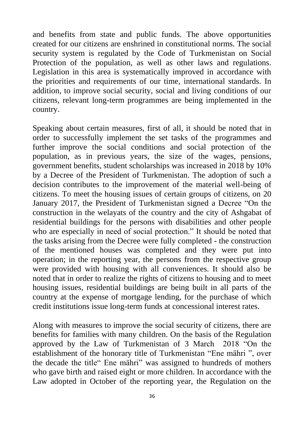and benefits from state and public funds. The above opportunities created for our citizens are enshrined in constitutional norms. The social security system is regulated by the Code of Turkmenistan on Social Protection of the population, as well as other laws and regulations. Legislation in this area is systematically improved in accordance with the priorities and requirements of our time, international standards. In addition, to improve social security, social and living conditions of our citizens, relevant long-term programmes are being implemented in the country.

Speaking about certain measures, first of all, it should be noted that in order to successfully implement the set tasks of the programmes and further improve the social conditions and social protection of the population, as in previous years, the size of the wages, pensions, government benefits, student scholarships was increased in 2018 by 10% by a Decree of the President of Turkmenistan. The adoption of such a decision contributes to the improvement of the material well-being of citizens. To meet the housing issues of certain groups of citizens, on 20 January 2017, the President of Turkmenistan signed a Decree "On the construction in the welayats of the country and the city of Ashgabat of residential buildings for the persons with disabilities and other people who are especially in need of social protection." It should be noted that the tasks arising from the Decree were fully completed - the construction of the mentioned houses was completed and they were put into operation; in the reporting year, the persons from the respective group were provided with housing with all conveniences. It should also be noted that in order to realize the rights of citizens to housing and to meet housing issues, residential buildings are being built in all parts of the country at the expense of mortgage lending, for the purchase of which credit institutions issue long-term funds at concessional interest rates.

Along with measures to improve the social security of citizens, there are benefits for families with many children. On the basis of the Regulation approved by the Law of Turkmenistan of 3 March 2018 "On the establishment of the honorary title of Turkmenistan "Ene mähri ", over the decade the title" Ene mähri" was assigned to hundreds of mothers who gave birth and raised eight or more children. In accordance with the Law adopted in October of the reporting year, the Regulation on the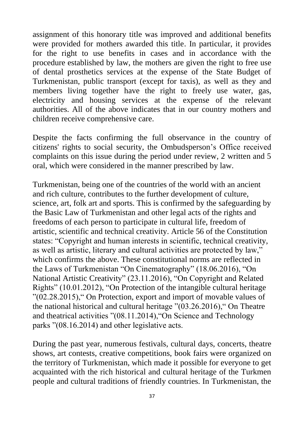assignment of this honorary title was improved and additional benefits were provided for mothers awarded this title. In particular, it provides for the right to use benefits in cases and in accordance with the procedure established by law, the mothers are given the right to free use of dental prosthetics services at the expense of the State Budget of Turkmenistan, public transport (except for taxis), as well as they and members living together have the right to freely use water, gas, electricity and housing services at the expense of the relevant authorities. All of the above indicates that in our country mothers and children receive comprehensive care.

Despite the facts confirming the full observance in the country of citizens' rights to social security, the Ombudsperson's Office received complaints on this issue during the period under review, 2 written and 5 oral, which were considered in the manner prescribed by law.

Turkmenistan, being one of the countries of the world with an ancient and rich culture, contributes to the further development of culture, science, art, folk art and sports. This is confirmed by the safeguarding by the Basic Law of Turkmenistan and other legal acts of the rights and freedoms of each person to participate in cultural life, freedom of artistic, scientific and technical creativity. Article 56 of the Constitution states: "Copyright and human interests in scientific, technical creativity, as well as artistic, literary and cultural activities are protected by law," which confirms the above. These constitutional norms are reflected in the Laws of Turkmenistan "On Cinematography" (18.06.2016), "On National Artistic Creativity" (23.11.2016), "On Copyright and Related Rights" (10.01.2012), "On Protection of the intangible cultural heritage "(02.28.2015)," On Protection, export and import of movable values of the national historical and cultural heritage "(03.26.2016)," On Theatre and theatrical activities "(08.11.2014),"On Science and Technology parks "(08.16.2014) and other legislative acts.

During the past year, numerous festivals, cultural days, concerts, theatre shows, art contests, creative competitions, book fairs were organized on the territory of Turkmenistan, which made it possible for everyone to get acquainted with the rich historical and cultural heritage of the Turkmen people and cultural traditions of friendly countries. In Turkmenistan, the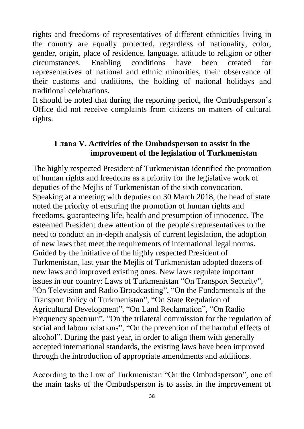rights and freedoms of representatives of different ethnicities living in the country are equally protected, regardless of nationality, color, gender, origin, place of residence, language, attitude to religion or other circumstances. Enabling conditions have been created for representatives of national and ethnic minorities, their observance of their customs and traditions, the holding of national holidays and traditional celebrations.

It should be noted that during the reporting period, the Ombudsperson's Office did not receive complaints from citizens on matters of cultural rights.

#### **Глава V. Activities of the Ombudsperson to assist in the improvement of the legislation of Turkmenistan**

The highly respected President of Turkmenistan identified the promotion of human rights and freedoms as a priority for the legislative work of deputies of the Mejlis of Turkmenistan of the sixth convocation. Speaking at a meeting with deputies on 30 March 2018, the head of state noted the priority of ensuring the promotion of human rights and freedoms, guaranteeing life, health and presumption of innocence. The esteemed President drew attention of the people's representatives to the need to conduct an in-depth analysis of current legislation, the adoption of new laws that meet the requirements of international legal norms. Guided by the initiative of the highly respected President of Turkmenistan, last year the Mejlis of Turkmenistan adopted dozens of new laws and improved existing ones. New laws regulate important issues in our country: Laws of Turkmenistan "On Transport Security", "On Television and Radio Broadcasting", "On the Fundamentals of the Transport Policy of Turkmenistan", "On State Regulation of Agricultural Development", "On Land Reclamation", "On Radio Frequency spectrum", "On the trilateral commission for the regulation of social and labour relations", "On the prevention of the harmful effects of alcohol". During the past year, in order to align them with generally accepted international standards, the existing laws have been improved through the introduction of appropriate amendments and additions.

According to the Law of Turkmenistan "On the Ombudsperson", one of the main tasks of the Ombudsperson is to assist in the improvement of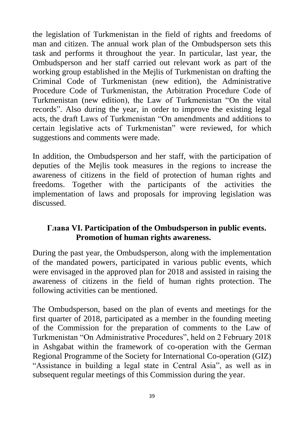the legislation of Turkmenistan in the field of rights and freedoms of man and citizen. The annual work plan of the Ombudsperson sets this task and performs it throughout the year. In particular, last year, the Ombudsperson and her staff carried out relevant work as part of the working group established in the Mejlis of Turkmenistan on drafting the Criminal Code of Turkmenistan (new edition), the Administrative Procedure Code of Turkmenistan, the Arbitration Procedure Code of Turkmenistan (new edition), the Law of Turkmenistan "On the vital records". Also during the year, in order to improve the existing legal acts, the draft Laws of Turkmenistan "On amendments and additions to certain legislative acts of Turkmenistan" were reviewed, for which suggestions and comments were made.

In addition, the Ombudsperson and her staff, with the participation of deputies of the Mejlis took measures in the regions to increase the awareness of citizens in the field of protection of human rights and freedoms. Together with the participants of the activities the implementation of laws and proposals for improving legislation was discussed.

#### **Глава VI. Participation of the Ombudsperson in public events. Promotion of human rights awareness.**

During the past year, the Ombudsperson, along with the implementation of the mandated powers, participated in various public events, which were envisaged in the approved plan for 2018 and assisted in raising the awareness of citizens in the field of human rights protection. The following activities can be mentioned.

The Ombudsperson, based on the plan of events and meetings for the first quarter of 2018, participated as a member in the founding meeting of the Commission for the preparation of comments to the Law of Turkmenistan "On Administrative Procedures", held on 2 February 2018 in Ashgabat within the framework of co-operation with the German Regional Programme of the Society for International Co-operation (GIZ) "Assistance in building a legal state in Central Asia", as well as in subsequent regular meetings of this Commission during the year.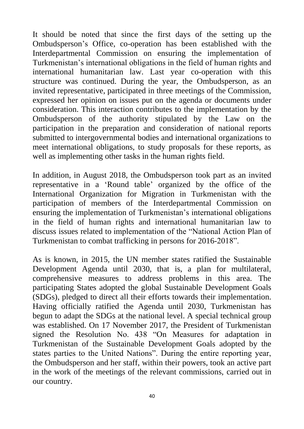It should be noted that since the first days of the setting up the Ombudsperson's Office, co-operation has been established with the Interdepartmental Commission on ensuring the implementation of Turkmenistan's international obligations in the field of human rights and international humanitarian law. Last year co-operation with this structure was continued. During the year, the Ombudsperson, as an invited representative, participated in three meetings of the Commission, expressed her opinion on issues put on the agenda or documents under consideration. This interaction contributes to the implementation by the Ombudsperson of the authority stipulated by the Law on the participation in the preparation and consideration of national reports submitted to intergovernmental bodies and international organizations to meet international obligations, to study proposals for these reports, as well as implementing other tasks in the human rights field.

In addition, in August 2018, the Ombudsperson took part as an invited representative in a 'Round table' organized by the office of the International Organization for Migration in Turkmenistan with the participation of members of the Interdepartmental Commission on ensuring the implementation of Turkmenistan's international obligations in the field of human rights and international humanitarian law to discuss issues related to implementation of the "National Action Plan of Turkmenistan to combat trafficking in persons for 2016-2018".

As is known, in 2015, the UN member states ratified the Sustainable Development Agenda until 2030, that is, a plan for multilateral, comprehensive measures to address problems in this area. The participating States adopted the global Sustainable Development Goals (SDGs), pledged to direct all their efforts towards their implementation. Having officially ratified the Agenda until 2030, Turkmenistan has begun to adapt the SDGs at the national level. A special technical group was established. On 17 November 2017, the President of Turkmenistan signed the Resolution No. 438 "On Measures for adaptation in Turkmenistan of the Sustainable Development Goals adopted by the states parties to the United Nations". During the entire reporting year, the Ombudsperson and her staff, within their powers, took an active part in the work of the meetings of the relevant commissions, carried out in our country.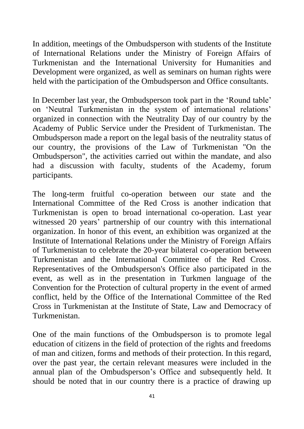In addition, meetings of the Ombudsperson with students of the Institute of International Relations under the Ministry of Foreign Affairs of Turkmenistan and the International University for Humanities and Development were organized, as well as seminars on human rights were held with the participation of the Ombudsperson and Office consultants.

In December last year, the Ombudsperson took part in the 'Round table' on 'Neutral Turkmenistan in the system of international relations' organized in connection with the Neutrality Day of our country by the Academy of Public Service under the President of Turkmenistan. The Ombudsperson made a report on the legal basis of the neutrality status of our country, the provisions of the Law of Turkmenistan "On the Ombudsperson", the activities carried out within the mandate, and also had a discussion with faculty, students of the Academy, forum participants.

The long-term fruitful co-operation between our state and the International Committee of the Red Cross is another indication that Turkmenistan is open to broad international co-operation. Last year witnessed 20 years' partnership of our country with this international organization. In honor of this event, an exhibition was organized at the Institute of International Relations under the Ministry of Foreign Affairs of Turkmenistan to celebrate the 20-year bilateral co-operation between Turkmenistan and the International Committee of the Red Cross. Representatives of the Ombudsperson's Office also participated in the event, as well as in the presentation in Turkmen language of the Convention for the Protection of cultural property in the event of armed conflict, held by the Office of the International Committee of the Red Cross in Turkmenistan at the Institute of State, Law and Democracy of Turkmenistan.

One of the main functions of the Ombudsperson is to promote legal education of citizens in the field of protection of the rights and freedoms of man and citizen, forms and methods of their protection. In this regard, over the past year, the certain relevant measures were included in the annual plan of the Ombudsperson's Office and subsequently held. It should be noted that in our country there is a practice of drawing up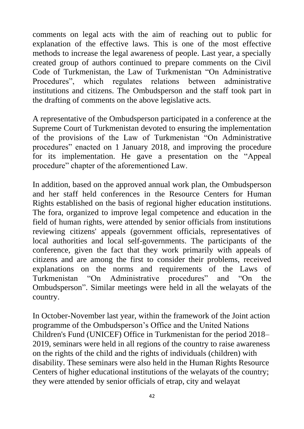comments on legal acts with the aim of reaching out to public for explanation of the effective laws. This is one of the most effective methods to increase the legal awareness of people. Last year, a specially created group of authors continued to prepare comments on the Civil Code of Turkmenistan, the Law of Turkmenistan "On Administrative Procedures", which regulates relations between administrative institutions and citizens. The Ombudsperson and the staff took part in the drafting of comments on the above legislative acts.

A representative of the Ombudsperson participated in a conference at the Supreme Court of Turkmenistan devoted to ensuring the implementation of the provisions of the Law of Turkmenistan "On Administrative procedures" enacted on 1 January 2018, and improving the procedure for its implementation. He gave a presentation on the "Appeal procedure" chapter of the aforementioned Law.

In addition, based on the approved annual work plan, the Ombudsperson and her staff held conferences in the Resource Centers for Human Rights established on the basis of regional higher education institutions. The fora, organized to improve legal competence and education in the field of human rights, were attended by senior officials from institutions reviewing citizens' appeals (government officials, representatives of local authorities and local self-governments. The participants of the conference, given the fact that they work primarily with appeals of citizens and are among the first to consider their problems, received explanations on the norms and requirements of the Laws of Turkmenistan "On Administrative procedures" and "On the Ombudsperson". Similar meetings were held in all the welayats of the country.

In October-November last year, within the framework of the Joint action programme of the Ombudsperson's Office and the United Nations Children's Fund (UNICEF) Office in Turkmenistan for the period 2018– 2019, seminars were held in all regions of the country to raise awareness on the rights of the child and the rights of individuals (children) with disability. These seminars were also held in the Human Rights Resource Centers of higher educational institutions of the welayats of the country; they were attended by senior officials of etrap, city and welayat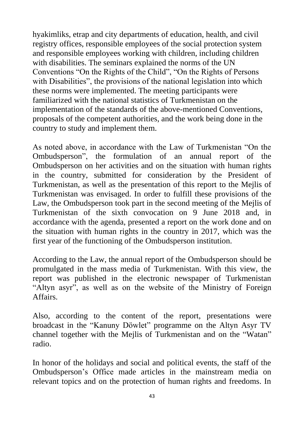hyakimliks, etrap and city departments of education, health, and civil registry offices, responsible employees of the social protection system and responsible employees working with children, including children with disabilities. The seminars explained the norms of the UN Conventions "On the Rights of the Child", "On the Rights of Persons with Disabilities", the provisions of the national legislation into which these norms were implemented. The meeting participants were familiarized with the national statistics of Turkmenistan on the implementation of the standards of the above-mentioned Conventions, proposals of the competent authorities, and the work being done in the country to study and implement them.

As noted above, in accordance with the Law of Turkmenistan "On the Ombudsperson", the formulation of an annual report of the Ombudsperson on her activities and on the situation with human rights in the country, submitted for consideration by the President of Turkmenistan, as well as the presentation of this report to the Mejlis of Turkmenistan was envisaged. In order to fulfill these provisions of the Law, the Ombudsperson took part in the second meeting of the Mejlis of Turkmenistan of the sixth convocation on 9 June 2018 and, in accordance with the agenda, presented a report on the work done and on the situation with human rights in the country in 2017, which was the first year of the functioning of the Ombudsperson institution.

According to the Law, the annual report of the Ombudsperson should be promulgated in the mass media of Turkmenistan. With this view, the report was published in the electronic newspaper of Turkmenistan "Altyn asyr", as well as on the website of the Ministry of Foreign Affairs.

Also, according to the content of the report, presentations were broadcast in the "Kanuny Döwlet" programme on the Altyn Asyr TV channel together with the Mejlis of Turkmenistan and on the "Watan" radio.

In honor of the holidays and social and political events, the staff of the Ombudsperson's Office made articles in the mainstream media on relevant topics and on the protection of human rights and freedoms. In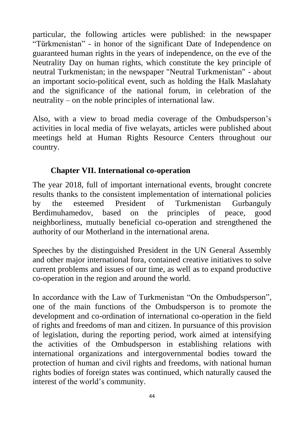particular, the following articles were published: in the newspaper "Türkmenistan" - in honor of the significant Date of Independence on guaranteed human rights in the years of independence, on the eve of the Neutrality Day on human rights, which constitute the key principle of neutral Turkmenistan; in the newspaper "Neutral Turkmenistan" - about an important socio-political event, such as holding the Halk Maslahaty and the significance of the national forum, in celebration of the neutrality – on the noble principles of international law.

Also, with a view to broad media coverage of the Ombudsperson's activities in local media of five welayats, articles were published about meetings held at Human Rights Resource Centers throughout our country.

#### **Chapter VII. International co-operation**

The year 2018, full of important international events, brought concrete results thanks to the consistent implementation of international policies by the esteemed President of Turkmenistan Gurbanguly Berdimuhamedov, based on the principles of peace, good neighborliness, mutually beneficial co-operation and strengthened the authority of our Motherland in the international arena.

Speeches by the distinguished President in the UN General Assembly and other major international fora, contained creative initiatives to solve current problems and issues of our time, as well as to expand productive co-operation in the region and around the world.

In accordance with the Law of Turkmenistan "On the Ombudsperson", one of the main functions of the Ombudsperson is to promote the development and co-ordination of international co-operation in the field of rights and freedoms of man and citizen. In pursuance of this provision of legislation, during the reporting period, work aimed at intensifying the activities of the Ombudsperson in establishing relations with international organizations and intergovernmental bodies toward the protection of human and civil rights and freedoms, with national human rights bodies of foreign states was continued, which naturally caused the interest of the world's community.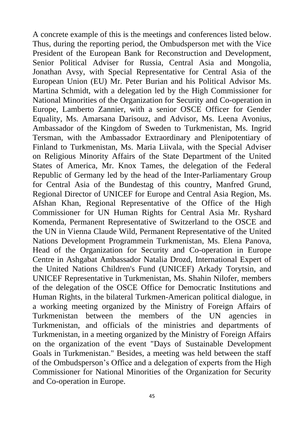A concrete example of this is the meetings and conferences listed below. Thus, during the reporting period, the Ombudsperson met with the Vice President of the European Bank for Reconstruction and Development, Senior Political Adviser for Russia, Central Asia and Mongolia, Jonathan Avsy, with Special Representative for Central Asia of the European Union (EU) Mr. Peter Burian and his Political Advisor Ms. Martina Schmidt, with a delegation led by the High Commissioner for National Minorities of the Organization for Security and Co-operation in Europe, Lamberto Zannier, with a senior OSCE Officer for Gender Equality, Ms. Amarsana Darisouz, and Advisor, Ms. Leena Avonius, Ambassador of the Kingdom of Sweden to Turkmenistan, Ms. Ingrid Tersman, with the Ambassador Extraordinary and Plenipotentiary of Finland to Turkmenistan, Ms. Maria Liivala, with the Special Adviser on Religious Minority Affairs of the State Department of the United States of America, Mr. Knox Tames, the delegation of the Federal Republic of Germany led by the head of the Inter-Parliamentary Group for Central Asia of the Bundestag of this country, Manfred Grund, Regional Director of UNICEF for Europe and Central Asia Region, Ms. Afshan Khan, Regional Representative of the Office of the High Commissioner for UN Human Rights for Central Asia Mr. Ryshard Komenda, Permanent Representative of Switzerland to the OSCE and the UN in Vienna Claude Wild, Permanent Representative of the United Nations Development Programmein Turkmenistan, Ms. Elena Panova, Head of the Organization for Security and Co-operation in Europe Centre in Ashgabat Ambassador Natalia Drozd, International Expert of the United Nations Children's Fund (UNICEF) Arkady Torytsin, and UNICEF Representative in Turkmenistan, Ms. Shahin Nilofer, members of the delegation of the OSCE Office for Democratic Institutions and Human Rights, in the bilateral Turkmen-American political dialogue, in a working meeting organized by the Ministry of Foreign Affairs of Turkmenistan between the members of the UN agencies in Turkmenistan, and officials of the ministries and departments of Turkmenistan, in a meeting organized by the Ministry of Foreign Affairs on the organization of the event "Days of Sustainable Development Goals in Turkmenistan." Besides, a meeting was held between the staff of the Ombudsperson's Office and a delegation of experts from the High Commissioner for National Minorities of the Organization for Security and Co-operation in Europe.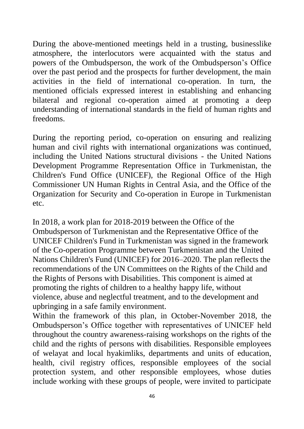During the above-mentioned meetings held in a trusting, businesslike atmosphere, the interlocutors were acquainted with the status and powers of the Ombudsperson, the work of the Ombudsperson's Office over the past period and the prospects for further development, the main activities in the field of international co-operation. In turn, the mentioned officials expressed interest in establishing and enhancing bilateral and regional co-operation aimed at promoting a deep understanding of international standards in the field of human rights and freedoms.

During the reporting period, co-operation on ensuring and realizing human and civil rights with international organizations was continued, including the United Nations structural divisions - the United Nations Development Programme Representation Office in Turkmenistan, the Children's Fund Office (UNICEF), the Regional Office of the High Commissioner UN Human Rights in Central Asia, and the Office of the Organization for Security and Co-operation in Europe in Turkmenistan etc.

In 2018, a work plan for 2018-2019 between the Office of the Ombudsperson of Turkmenistan and the Representative Office of the UNICEF Children's Fund in Turkmenistan was signed in the framework of the Co-operation Programme between Turkmenistan and the United Nations Children's Fund (UNICEF) for 2016–2020. The plan reflects the recommendations of the UN Committees on the Rights of the Child and the Rights of Persons with Disabilities. This component is aimed at promoting the rights of children to a healthy happy life, without violence, abuse and neglectful treatment, and to the development and upbringing in a safe family environment.

Within the framework of this plan, in October-November 2018, the Ombudsperson's Office together with representatives of UNICEF held throughout the country awareness-raising workshops on the rights of the child and the rights of persons with disabilities. Responsible employees of welayat and local hyakimliks, departments and units of education, health, civil registry offices, responsible employees of the social protection system, and other responsible employees, whose duties include working with these groups of people, were invited to participate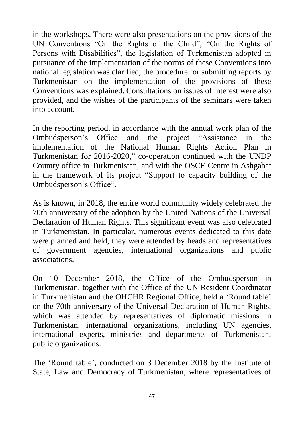in the workshops. There were also presentations on the provisions of the UN Conventions "On the Rights of the Child", "On the Rights of Persons with Disabilities", the legislation of Turkmenistan adopted in pursuance of the implementation of the norms of these Conventions into national legislation was clarified, the procedure for submitting reports by Turkmenistan on the implementation of the provisions of these Conventions was explained. Consultations on issues of interest were also provided, and the wishes of the participants of the seminars were taken into account.

In the reporting period, in accordance with the annual work plan of the Ombudsperson's Office and the project "Assistance in the implementation of the National Human Rights Action Plan in Turkmenistan for 2016-2020," co-operation continued with the UNDP Country office in Turkmenistan, and with the OSCE Centre in Ashgabat in the framework of its project "Support to capacity building of the Ombudsperson's Office".

As is known, in 2018, the entire world community widely celebrated the 70th anniversary of the adoption by the United Nations of the Universal Declaration of Human Rights. This significant event was also celebrated in Turkmenistan. In particular, numerous events dedicated to this date were planned and held, they were attended by heads and representatives of government agencies, international organizations and public associations.

On 10 December 2018, the Office of the Ombudsperson in Turkmenistan, together with the Office of the UN Resident Coordinator in Turkmenistan and the OHCHR Regional Office, held a 'Round table' on the 70th anniversary of the Universal Declaration of Human Rights, which was attended by representatives of diplomatic missions in Turkmenistan, international organizations, including UN agencies, international experts, ministries and departments of Turkmenistan, public organizations.

The 'Round table', conducted on 3 December 2018 by the Institute of State, Law and Democracy of Turkmenistan, where representatives of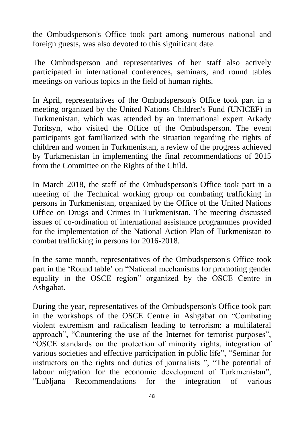the Ombudsperson's Office took part among numerous national and foreign guests, was also devoted to this significant date.

The Ombudsperson and representatives of her staff also actively participated in international conferences, seminars, and round tables meetings on various topics in the field of human rights.

In April, representatives of the Ombudsperson's Office took part in a meeting organized by the United Nations Children's Fund (UNICEF) in Turkmenistan, which was attended by an international expert Arkady Toritsyn, who visited the Office of the Ombudsperson. The event participants got familiarized with the situation regarding the rights of children and women in Turkmenistan, a review of the progress achieved by Turkmenistan in implementing the final recommendations of 2015 from the Committee on the Rights of the Child.

In March 2018, the staff of the Ombudsperson's Office took part in a meeting of the Technical working group on combating trafficking in persons in Turkmenistan, organized by the Office of the United Nations Office on Drugs and Crimes in Turkmenistan. The meeting discussed issues of co-ordination of international assistance programmes provided for the implementation of the National Action Plan of Turkmenistan to combat trafficking in persons for 2016-2018.

In the same month, representatives of the Ombudsperson's Office took part in the 'Round table' on "National mechanisms for promoting gender equality in the OSCE region" organized by the OSCE Centre in Ashgabat.

During the year, representatives of the Ombudsperson's Office took part in the workshops of the OSCE Centre in Ashgabat on "Combating violent extremism and radicalism leading to terrorism: a multilateral approach", "Countering the use of the Internet for terrorist purposes", "OSCE standards on the protection of minority rights, integration of various societies and effective participation in public life", "Seminar for instructors on the rights and duties of journalists ", "The potential of labour migration for the economic development of Turkmenistan", "Lubljana Recommendations for the integration of various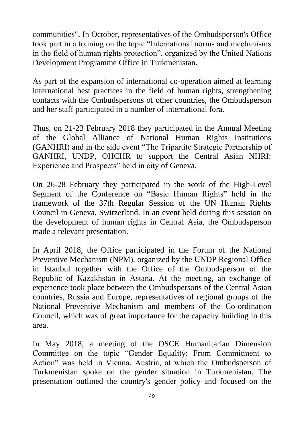communities". In October, representatives of the Ombudsperson's Office took part in a training on the topic "International norms and mechanisms in the field of human rights protection", organized by the United Nations Development Programme Office in Turkmenistan.

As part of the expansion of international co-operation aimed at learning international best practices in the field of human rights, strengthening contacts with the Ombudspersons of other countries, the Ombudsperson and her staff participated in a number of international fora.

Thus, on 21-23 February 2018 they participated in the Annual Meeting of the Global Alliance of National Human Rights Institutions (GANHRI) and in the side event "The Tripartite Strategic Partnership of GANHRI, UNDP, OHCHR to support the Central Asian NHRI: Experience and Prospects" held in city of Geneva.

On 26-28 February they participated in the work of the High-Level Segment of the Conference on "Basic Human Rights" held in the framework of the 37th Regular Session of the UN Human Rights Council in Geneva, Switzerland. In an event held during this session on the development of human rights in Central Asia, the Ombudsperson made a relevant presentation.

In April 2018, the Office participated in the Forum of the National Preventive Mechanism (NPM), organized by the UNDP Regional Office in Istanbul together with the Office of the Ombudsperson of the Republic of Kazakhstan in Astana. At the meeting, an exchange of experience took place between the Ombudspersons of the Central Asian countries, Russia and Europe, representatives of regional groups of the National Preventive Mechanism and members of the Co-ordination Council, which was of great importance for the capacity building in this area.

In May 2018, a meeting of the OSCE Humanitarian Dimension Committee on the topic "Gender Equality: From Commitment to Action" was held in Vienna, Austria, at which the Ombudsperson of Turkmenistan spoke on the gender situation in Turkmenistan. The presentation outlined the country's gender policy and focused on the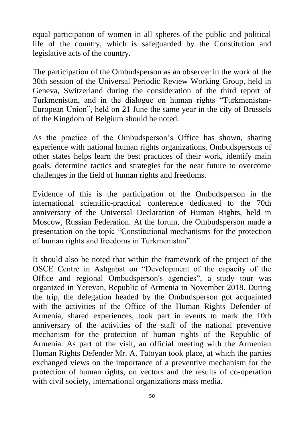equal participation of women in all spheres of the public and political life of the country, which is safeguarded by the Constitution and legislative acts of the country.

The participation of the Ombudsperson as an observer in the work of the 30th session of the Universal Periodic Review Working Group, held in Geneva, Switzerland during the consideration of the third report of Turkmenistan, and in the dialogue on human rights "Turkmenistan-European Union", held on 21 June the same year in the city of Brussels of the Kingdom of Belgium should be noted.

As the practice of the Ombudsperson's Office has shown, sharing experience with national human rights organizations, Ombudspersons of other states helps learn the best practices of their work, identify main goals, determine tactics and strategies for the near future to overcome challenges in the field of human rights and freedoms.

Evidence of this is the participation of the Ombudsperson in the international scientific-practical conference dedicated to the 70th anniversary of the Universal Declaration of Human Rights, held in Moscow, Russian Federation. At the forum, the Ombudsperson made a presentation on the topic "Constitutional mechanisms for the protection of human rights and freedoms in Turkmenistan".

It should also be noted that within the framework of the project of the OSCE Centre in Ashgabat on "Development of the capacity of the Office and regional Ombudsperson's agencies", a study tour was organized in Yerevan, Republic of Armenia in November 2018. During the trip, the delegation headed by the Ombudsperson got acquainted with the activities of the Office of the Human Rights Defender of Armenia, shared experiences, took part in events to mark the 10th anniversary of the activities of the staff of the national preventive mechanism for the protection of human rights of the Republic of Armenia. As part of the visit, an official meeting with the Armenian Human Rights Defender Mr. A. Tatoyan took place, at which the parties exchanged views on the importance of a preventive mechanism for the protection of human rights, on vectors and the results of co-operation with civil society, international organizations mass media.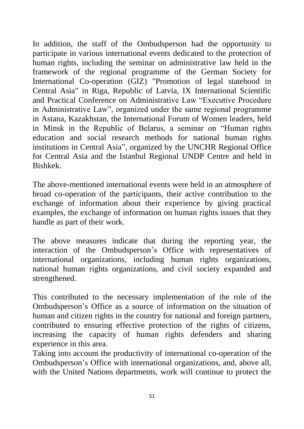In addition, the staff of the Ombudsperson had the opportunity to participate in various international events dedicated to the protection of human rights, including the seminar on administrative law held in the framework of the regional programme of the German Society for International Co-operation (GIZ) "Promotion of legal statehood in Central Asia" in Riga, Republic of Latvia, IX International Scientific and Practical Conference on Administrative Law "Executive Procedure in Administrative Law", organized under the same regional programme in Astana, Kazakhstan, the International Forum of Women leaders, held in Minsk in the Republic of Belarus, a seminar on "Human rights education and social research methods for national human rights institutions in Central Asia", organized by the UNCHR Regional Office for Central Asia and the Istanbul Regional UNDP Centre and held in Bishkek.

The above-mentioned international events were held in an atmosphere of broad co-operation of the participants, their active contribution to the exchange of information about their experience by giving practical examples, the exchange of information on human rights issues that they handle as part of their work.

The above measures indicate that during the reporting year, the interaction of the Ombudsperson's Office with representatives of international organizations, including human rights organizations, national human rights organizations, and civil society expanded and strengthened.

This contributed to the necessary implementation of the role of the Ombudsperson's Office as a source of information on the situation of human and citizen rights in the country for national and foreign partners, contributed to ensuring effective protection of the rights of citizens, increasing the capacity of human rights defenders and sharing experience in this area.

Taking into account the productivity of international co-operation of the Ombudsperson's Office with international organizations, and, above all, with the United Nations departments, work will continue to protect the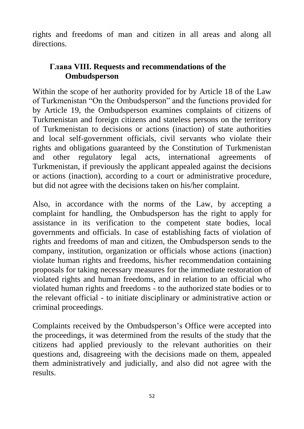rights and freedoms of man and citizen in all areas and along all directions.

#### **Глава VIII. Requests and recommendations of the Ombudsperson**

Within the scope of her authority provided for by Article 18 of the Law of Turkmenistan "On the Ombudsperson" and the functions provided for by Article 19, the Ombudsperson examines complaints of citizens of Turkmenistan and foreign citizens and stateless persons on the territory of Turkmenistan to decisions or actions (inaction) of state authorities and local self-government officials, civil servants who violate their rights and obligations guaranteed by the Constitution of Turkmenistan and other regulatory legal acts, international agreements of Turkmenistan, if previously the applicant appealed against the decisions or actions (inaction), according to a court or administrative procedure, but did not agree with the decisions taken on his/her complaint.

Also, in accordance with the norms of the Law, by accepting a complaint for handling, the Ombudsperson has the right to apply for assistance in its verification to the competent state bodies, local governments and officials. In case of establishing facts of violation of rights and freedoms of man and citizen, the Ombudsperson sends to the company, institution, organization or officials whose actions (inaction) violate human rights and freedoms, his/her recommendation containing proposals for taking necessary measures for the immediate restoration of violated rights and human freedoms, and in relation to an official who violated human rights and freedoms - to the authorized state bodies or to the relevant official - to initiate disciplinary or administrative action or criminal proceedings.

Complaints received by the Ombudsperson's Office were accepted into the proceedings, it was determined from the results of the study that the citizens had applied previously to the relevant authorities on their questions and, disagreeing with the decisions made on them, appealed them administratively and judicially, and also did not agree with the results.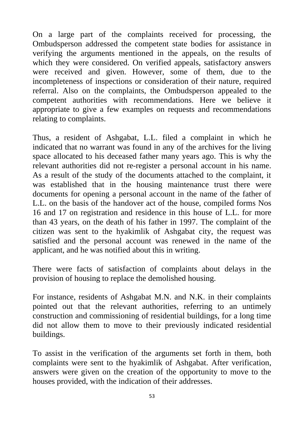On a large part of the complaints received for processing, the Ombudsperson addressed the competent state bodies for assistance in verifying the arguments mentioned in the appeals, on the results of which they were considered. On verified appeals, satisfactory answers were received and given. However, some of them, due to the incompleteness of inspections or consideration of their nature, required referral. Also on the complaints, the Ombudsperson appealed to the competent authorities with recommendations. Here we believe it appropriate to give a few examples on requests and recommendations relating to complaints.

Thus, a resident of Ashgabat, L.L. filed a complaint in which he indicated that no warrant was found in any of the archives for the living space allocated to his deceased father many years ago. This is why the relevant authorities did not re-register a personal account in his name. As a result of the study of the documents attached to the complaint, it was established that in the housing maintenance trust there were documents for opening a personal account in the name of the father of L.L. on the basis of the handover act of the house, compiled forms Nos 16 and 17 on registration and residence in this house of L.L. for more than 43 years, on the death of his father in 1997. The complaint of the citizen was sent to the hyakimlik of Ashgabat city, the request was satisfied and the personal account was renewed in the name of the applicant, and he was notified about this in writing.

There were facts of satisfaction of complaints about delays in the provision of housing to replace the demolished housing.

For instance, residents of Ashgabat M.N. and N.K. in their complaints pointed out that the relevant authorities, referring to an untimely construction and commissioning of residential buildings, for a long time did not allow them to move to their previously indicated residential buildings.

To assist in the verification of the arguments set forth in them, both complaints were sent to the hyakimlik of Ashgabat. After verification, answers were given on the creation of the opportunity to move to the houses provided, with the indication of their addresses.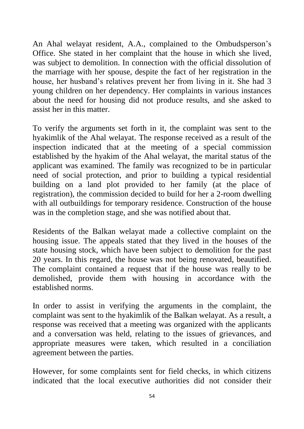An Ahal welayat resident, A.A., complained to the Ombudsperson's Office. She stated in her complaint that the house in which she lived, was subject to demolition. In connection with the official dissolution of the marriage with her spouse, despite the fact of her registration in the house, her husband's relatives prevent her from living in it. She had 3 young children on her dependency. Her complaints in various instances about the need for housing did not produce results, and she asked to assist her in this matter.

To verify the arguments set forth in it, the complaint was sent to the hyakimlik of the Ahal welayat. The response received as a result of the inspection indicated that at the meeting of a special commission established by the hyakim of the Ahal welayat, the marital status of the applicant was examined. The family was recognized to be in particular need of social protection, and prior to building a typical residential building on a land plot provided to her family (at the place of registration), the commission decided to build for her a 2-room dwelling with all outbuildings for temporary residence. Construction of the house was in the completion stage, and she was notified about that.

Residents of the Balkan welayat made a collective complaint on the housing issue. The appeals stated that they lived in the houses of the state housing stock, which have been subject to demolition for the past 20 years. In this regard, the house was not being renovated, beautified. The complaint contained a request that if the house was really to be demolished, provide them with housing in accordance with the established norms.

In order to assist in verifying the arguments in the complaint, the complaint was sent to the hyakimlik of the Balkan welayat. As a result, a response was received that a meeting was organized with the applicants and a conversation was held, relating to the issues of grievances, and appropriate measures were taken, which resulted in a conciliation agreement between the parties.

However, for some complaints sent for field checks, in which citizens indicated that the local executive authorities did not consider their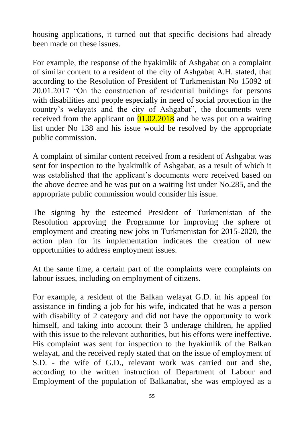housing applications, it turned out that specific decisions had already been made on these issues.

For example, the response of the hyakimlik of Ashgabat on a complaint of similar content to a resident of the city of Ashgabat A.H. stated, that according to the Resolution of President of Turkmenistan No 15092 of 20.01.2017 "On the construction of residential buildings for persons with disabilities and people especially in need of social protection in the country's welayats and the city of Ashgabat", the documents were received from the applicant on  $\overline{01.02.2018}$  and he was put on a waiting list under No 138 and his issue would be resolved by the appropriate public commission.

A complaint of similar content received from a resident of Ashgabat was sent for inspection to the hyakimlik of Ashgabat, as a result of which it was established that the applicant's documents were received based on the above decree and he was put on a waiting list under No.285, and the appropriate public commission would consider his issue.

The signing by the esteemed President of Turkmenistan of the Resolution approving the Programme for improving the sphere of employment and creating new jobs in Turkmenistan for 2015-2020, the action plan for its implementation indicates the creation of new opportunities to address employment issues.

At the same time, a certain part of the complaints were complaints on labour issues, including on employment of citizens.

For example, a resident of the Balkan welayat G.D. in his appeal for assistance in finding a job for his wife, indicated that he was a person with disability of 2 category and did not have the opportunity to work himself, and taking into account their 3 underage children, he applied with this issue to the relevant authorities, but his efforts were ineffective. His complaint was sent for inspection to the hyakimlik of the Balkan welayat, and the received reply stated that on the issue of employment of S.D. - the wife of G.D., relevant work was carried out and she, according to the written instruction of Department of Labour and Employment of the population of Balkanabat, she was employed as a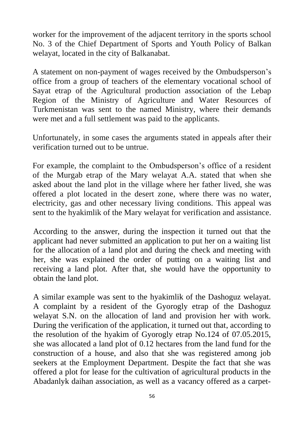worker for the improvement of the adjacent territory in the sports school No. 3 of the Chief Department of Sports and Youth Policy of Balkan welayat, located in the city of Balkanabat.

A statement on non-payment of wages received by the Ombudsperson's office from a group of teachers of the elementary vocational school of Sayat etrap of the Agricultural production association of the Lebap Region of the Ministry of Agriculture and Water Resources of Turkmenistan was sent to the named Ministry, where their demands were met and a full settlement was paid to the applicants.

Unfortunately, in some cases the arguments stated in appeals after their verification turned out to be untrue.

For example, the complaint to the Ombudsperson's office of a resident of the Murgab etrap of the Mary welayat A.A. stated that when she asked about the land plot in the village where her father lived, she was offered a plot located in the desert zone, where there was no water, electricity, gas and other necessary living conditions. This appeal was sent to the hyakimlik of the Mary welayat for verification and assistance.

According to the answer, during the inspection it turned out that the applicant had never submitted an application to put her on a waiting list for the allocation of a land plot and during the check and meeting with her, she was explained the order of putting on a waiting list and receiving a land plot. After that, she would have the opportunity to obtain the land plot.

A similar example was sent to the hyakimlik of the Dashoguz welayat. A complaint by a resident of the Gyorogly etrap of the Dashoguz welayat S.N. on the allocation of land and provision her with work. During the verification of the application, it turned out that, according to the resolution of the hyakim of Gyorogly etrap No.124 of 07.05.2015, she was allocated a land plot of 0.12 hectares from the land fund for the construction of a house, and also that she was registered among job seekers at the Employment Department. Despite the fact that she was offered a plot for lease for the cultivation of agricultural products in the Abadanlyk daihan association, as well as a vacancy offered as a carpet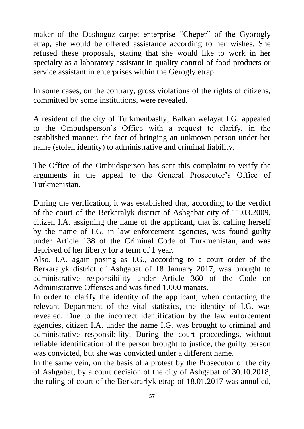maker of the Dashoguz carpet enterprise "Cheper" of the Gyorogly etrap, she would be offered assistance according to her wishes. She refused these proposals, stating that she would like to work in her specialty as a laboratory assistant in quality control of food products or service assistant in enterprises within the Gerogly etrap.

In some cases, on the contrary, gross violations of the rights of citizens, committed by some institutions, were revealed.

A resident of the city of Turkmenbashy, Balkan welayat I.G. appealed to the Ombudsperson's Office with a request to clarify, in the established manner, the fact of bringing an unknown person under her name (stolen identity) to administrative and criminal liability.

The Office of the Ombudsperson has sent this complaint to verify the arguments in the appeal to the General Prosecutor's Office of Turkmenistan.

During the verification, it was established that, according to the verdict of the court of the Berkaralyk district of Ashgabat city of 11.03.2009, citizen I.A. assigning the name of the applicant, that is, calling herself by the name of I.G. in law enforcement agencies, was found guilty under Article 138 of the Criminal Code of Turkmenistan, and was deprived of her liberty for a term of 1 year.

Also, I.A. again posing as I.G., according to a court order of the Berkaralyk district of Ashgabat of 18 January 2017, was brought to administrative responsibility under Article 360 of the Code on Administrative Offenses and was fined 1,000 manats.

In order to clarify the identity of the applicant, when contacting the relevant Department of the vital statistics, the identity of I.G. was revealed. Due to the incorrect identification by the law enforcement agencies, citizen I.A. under the name I.G. was brought to criminal and administrative responsibility. During the court proceedings, without reliable identification of the person brought to justice, the guilty person was convicted, but she was convicted under a different name.

In the same vein, on the basis of a protest by the Prosecutor of the city of Ashgabat, by a court decision of the city of Ashgabat of 30.10.2018, the ruling of court of the Berkararlyk etrap of 18.01.2017 was annulled,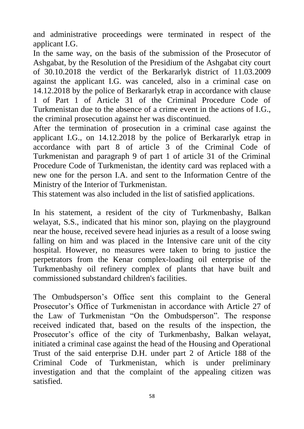and administrative proceedings were terminated in respect of the applicant I.G.

In the same way, on the basis of the submission of the Prosecutor of Ashgabat, by the Resolution of the Presidium of the Ashgabat city court of 30.10.2018 the verdict of the Berkararlyk district of 11.03.2009 against the applicant I.G. was canceled, also in a criminal case on 14.12.2018 by the police of Berkararlyk etrap in accordance with clause 1 of Part 1 of Article 31 of the Criminal Procedure Code of Turkmenistan due to the absence of a crime event in the actions of I.G., the criminal prosecution against her was discontinued.

After the termination of prosecution in a criminal case against the applicant I.G., on 14.12.2018 by the police of Berkararlyk etrap in accordance with part 8 of article 3 of the Criminal Code of Turkmenistan and paragraph 9 of part 1 of article 31 of the Criminal Procedure Code of Turkmenistan, the identity card was replaced with a new one for the person I.A. and sent to the Information Centre of the Ministry of the Interior of Turkmenistan.

This statement was also included in the list of satisfied applications.

In his statement, a resident of the city of Turkmenbashy, Balkan welayat, S.S., indicated that his minor son, playing on the playground near the house, received severe head injuries as a result of a loose swing falling on him and was placed in the Intensive care unit of the city hospital. However, no measures were taken to bring to justice the perpetrators from the Kenar complex-loading oil enterprise of the Turkmenbashy oil refinery complex of plants that have built and commissioned substandard children's facilities.

The Ombudsperson's Office sent this complaint to the General Prosecutor's Office of Turkmenistan in accordance with Article 27 of the Law of Turkmenistan "On the Ombudsperson". The response received indicated that, based on the results of the inspection, the Prosecutor's office of the city of Turkmenbashy, Balkan welayat, initiated a criminal case against the head of the Housing and Operational Trust of the said enterprise D.H. under part 2 of Article 188 of the Criminal Code of Turkmenistan, which is under preliminary investigation and that the complaint of the appealing citizen was satisfied.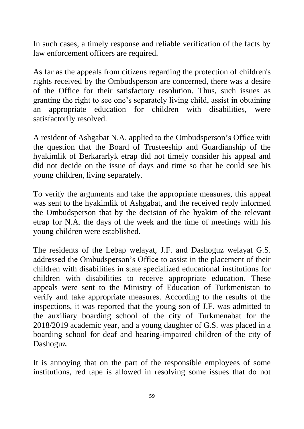In such cases, a timely response and reliable verification of the facts by law enforcement officers are required.

As far as the appeals from citizens regarding the protection of children's rights received by the Ombudsperson are concerned, there was a desire of the Office for their satisfactory resolution. Thus, such issues as granting the right to see one's separately living child, assist in obtaining an appropriate education for children with disabilities, were satisfactorily resolved.

A resident of Ashgabat N.A. applied to the Ombudsperson's Office with the question that the Board of Trusteeship and Guardianship of the hyakimlik of Berkararlyk etrap did not timely consider his appeal and did not decide on the issue of days and time so that he could see his young children, living separately.

To verify the arguments and take the appropriate measures, this appeal was sent to the hyakimlik of Ashgabat, and the received reply informed the Ombudsperson that by the decision of the hyakim of the relevant etrap for N.A. the days of the week and the time of meetings with his young children were established.

The residents of the Lebap welayat, J.F. and Dashoguz welayat G.S. addressed the Ombudsperson's Office to assist in the placement of their children with disabilities in state specialized educational institutions for children with disabilities to receive appropriate education. These appeals were sent to the Ministry of Education of Turkmenistan to verify and take appropriate measures. According to the results of the inspections, it was reported that the young son of J.F. was admitted to the auxiliary boarding school of the city of Turkmenabat for the 2018/2019 academic year, and a young daughter of G.S. was placed in a boarding school for deaf and hearing-impaired children of the city of Dashoguz.

It is annoying that on the part of the responsible employees of some institutions, red tape is allowed in resolving some issues that do not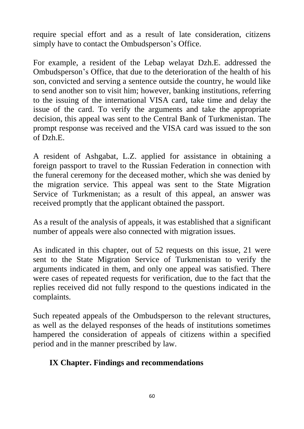require special effort and as a result of late consideration, citizens simply have to contact the Ombudsperson's Office.

For example, a resident of the Lebap welayat Dzh.E. addressed the Ombudsperson's Office, that due to the deterioration of the health of his son, convicted and serving a sentence outside the country, he would like to send another son to visit him; however, banking institutions, referring to the issuing of the international VISA card, take time and delay the issue of the card. To verify the arguments and take the appropriate decision, this appeal was sent to the Central Bank of Turkmenistan. The prompt response was received and the VISA card was issued to the son of Dzh.E.

A resident of Ashgabat, L.Z. applied for assistance in obtaining a foreign passport to travel to the Russian Federation in connection with the funeral ceremony for the deceased mother, which she was denied by the migration service. This appeal was sent to the State Migration Service of Turkmenistan; as a result of this appeal, an answer was received promptly that the applicant obtained the passport.

As a result of the analysis of appeals, it was established that a significant number of appeals were also connected with migration issues.

As indicated in this chapter, out of 52 requests on this issue, 21 were sent to the State Migration Service of Turkmenistan to verify the arguments indicated in them, and only one appeal was satisfied. There were cases of repeated requests for verification, due to the fact that the replies received did not fully respond to the questions indicated in the complaints.

Such repeated appeals of the Ombudsperson to the relevant structures, as well as the delayed responses of the heads of institutions sometimes hampered the consideration of appeals of citizens within a specified period and in the manner prescribed by law.

#### **IX Chapter. Findings and recommendations**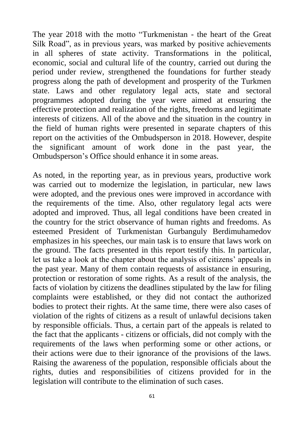The year 2018 with the motto "Turkmenistan - the heart of the Great Silk Road", as in previous years, was marked by positive achievements in all spheres of state activity. Transformations in the political, economic, social and cultural life of the country, carried out during the period under review, strengthened the foundations for further steady progress along the path of development and prosperity of the Turkmen state. Laws and other regulatory legal acts, state and sectoral programmes adopted during the year were aimed at ensuring the effective protection and realization of the rights, freedoms and legitimate interests of citizens. All of the above and the situation in the country in the field of human rights were presented in separate chapters of this report on the activities of the Ombudsperson in 2018. However, despite the significant amount of work done in the past year, the Ombudsperson's Office should enhance it in some areas.

As noted, in the reporting year, as in previous years, productive work was carried out to modernize the legislation, in particular, new laws were adopted, and the previous ones were improved in accordance with the requirements of the time. Also, other regulatory legal acts were adopted and improved. Thus, all legal conditions have been created in the country for the strict observance of human rights and freedoms. As esteemed President of Turkmenistan Gurbanguly Berdimuhamedov emphasizes in his speeches, our main task is to ensure that laws work on the ground. The facts presented in this report testify this. In particular, let us take a look at the chapter about the analysis of citizens' appeals in the past year. Many of them contain requests of assistance in ensuring, protection or restoration of some rights. As a result of the analysis, the facts of violation by citizens the deadlines stipulated by the law for filing complaints were established, or they did not contact the authorized bodies to protect their rights. At the same time, there were also cases of violation of the rights of citizens as a result of unlawful decisions taken by responsible officials. Thus, a certain part of the appeals is related to the fact that the applicants - citizens or officials, did not comply with the requirements of the laws when performing some or other actions, or their actions were due to their ignorance of the provisions of the laws. Raising the awareness of the population, responsible officials about the rights, duties and responsibilities of citizens provided for in the legislation will contribute to the elimination of such cases.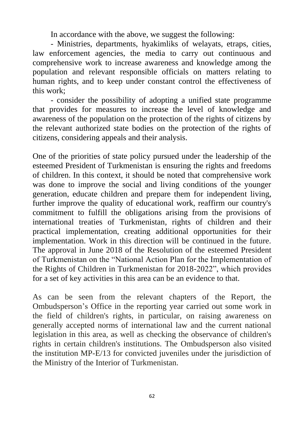In accordance with the above, we suggest the following:

- Ministries, departments, hyakimliks of welayats, etraps, cities, law enforcement agencies, the media to carry out continuous and comprehensive work to increase awareness and knowledge among the population and relevant responsible officials on matters relating to human rights, and to keep under constant control the effectiveness of this work;

- consider the possibility of adopting a unified state programme that provides for measures to increase the level of knowledge and awareness of the population on the protection of the rights of citizens by the relevant authorized state bodies on the protection of the rights of citizens, considering appeals and their analysis.

One of the priorities of state policy pursued under the leadership of the esteemed President of Turkmenistan is ensuring the rights and freedoms of children. In this context, it should be noted that comprehensive work was done to improve the social and living conditions of the younger generation, educate children and prepare them for independent living, further improve the quality of educational work, reaffirm our country's commitment to fulfill the obligations arising from the provisions of international treaties of Turkmenistan, rights of children and their practical implementation, creating additional opportunities for their implementation. Work in this direction will be continued in the future. The approval in June 2018 of the Resolution of the esteemed President of Turkmenistan on the "National Action Plan for the Implementation of the Rights of Children in Turkmenistan for 2018-2022", which provides for a set of key activities in this area can be an evidence to that.

As can be seen from the relevant chapters of the Report, the Ombudsperson's Office in the reporting year carried out some work in the field of children's rights, in particular, on raising awareness on generally accepted norms of international law and the current national legislation in this area, as well as checking the observance of children's rights in certain children's institutions. The Ombudsperson also visited the institution MP-E/13 for convicted juveniles under the jurisdiction of the Ministry of the Interior of Turkmenistan.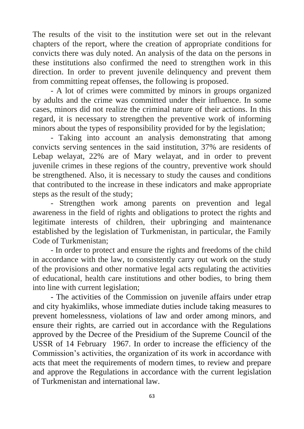The results of the visit to the institution were set out in the relevant chapters of the report, where the creation of appropriate conditions for convicts there was duly noted. An analysis of the data on the persons in these institutions also confirmed the need to strengthen work in this direction. In order to prevent juvenile delinquency and prevent them from committing repeat offenses, the following is proposed.

- A lot of crimes were committed by minors in groups organized by adults and the crime was committed under their influence. In some cases, minors did not realize the criminal nature of their actions. In this regard, it is necessary to strengthen the preventive work of informing minors about the types of responsibility provided for by the legislation;

- Taking into account an analysis demonstrating that among convicts serving sentences in the said institution, 37% are residents of Lebap welayat, 22% are of Mary welayat, and in order to prevent juvenile crimes in these regions of the country, preventive work should be strengthened. Also, it is necessary to study the causes and conditions that contributed to the increase in these indicators and make appropriate steps as the result of the study;

- Strengthen work among parents on prevention and legal awareness in the field of rights and obligations to protect the rights and legitimate interests of children, their upbringing and maintenance established by the legislation of Turkmenistan, in particular, the Family Code of Turkmenistan;

- In order to protect and ensure the rights and freedoms of the child in accordance with the law, to consistently carry out work on the study of the provisions and other normative legal acts regulating the activities of educational, health care institutions and other bodies, to bring them into line with current legislation;

- The activities of the Commission on juvenile affairs under etrap and city hyakimliks, whose immediate duties include taking measures to prevent homelessness, violations of law and order among minors, and ensure their rights, are carried out in accordance with the Regulations approved by the Decree of the Presidium of the Supreme Council of the USSR of 14 February 1967. In order to increase the efficiency of the Commission's activities, the organization of its work in accordance with acts that meet the requirements of modern times, to review and prepare and approve the Regulations in accordance with the current legislation of Turkmenistan and international law.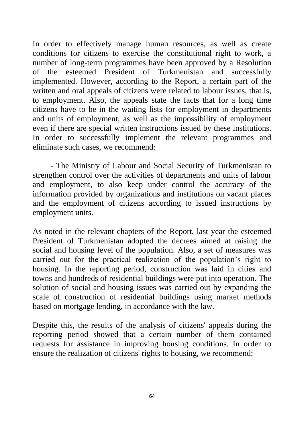In order to effectively manage human resources, as well as create conditions for citizens to exercise the constitutional right to work, a number of long-term programmes have been approved by a Resolution of the esteemed President of Turkmenistan and successfully implemented. However, according to the Report, a certain part of the written and oral appeals of citizens were related to labour issues, that is, to employment. Also, the appeals state the facts that for a long time citizens have to be in the waiting lists for employment in departments and units of employment, as well as the impossibility of employment even if there are special written instructions issued by these institutions. In order to successfully implement the relevant programmes and eliminate such cases, we recommend:

- The Ministry of Labour and Social Security of Turkmenistan to strengthen control over the activities of departments and units of labour and employment, to also keep under control the accuracy of the information provided by organizations and institutions on vacant places and the employment of citizens according to issued instructions by employment units.

As noted in the relevant chapters of the Report, last year the esteemed President of Turkmenistan adopted the decrees aimed at raising the social and housing level of the population. Also, a set of measures was carried out for the practical realization of the population's right to housing. In the reporting period, construction was laid in cities and towns and hundreds of residential buildings were put into operation. The solution of social and housing issues was carried out by expanding the scale of construction of residential buildings using market methods based on mortgage lending, in accordance with the law.

Despite this, the results of the analysis of citizens' appeals during the reporting period showed that a certain number of them contained requests for assistance in improving housing conditions. In order to ensure the realization of citizens' rights to housing, we recommend: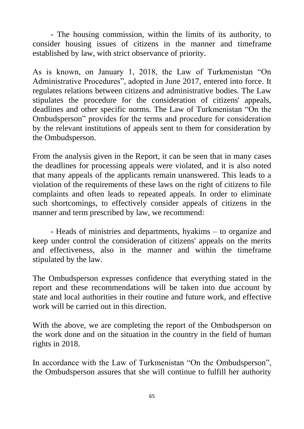- The housing commission, within the limits of its authority, to consider housing issues of citizens in the manner and timeframe established by law, with strict observance of priority.

As is known, on January 1, 2018, the Law of Turkmenistan "On Administrative Procedures", adopted in June 2017, entered into force. It regulates relations between citizens and administrative bodies. The Law stipulates the procedure for the consideration of citizens' appeals, deadlines and other specific norms. The Law of Turkmenistan "On the Ombudsperson" provides for the terms and procedure for consideration by the relevant institutions of appeals sent to them for consideration by the Ombudsperson.

From the analysis given in the Report, it can be seen that in many cases the deadlines for processing appeals were violated, and it is also noted that many appeals of the applicants remain unanswered. This leads to a violation of the requirements of these laws on the right of citizens to file complaints and often leads to repeated appeals. In order to eliminate such shortcomings, to effectively consider appeals of citizens in the manner and term prescribed by law, we recommend:

- Heads of ministries and departments, hyakims – to organize and keep under control the consideration of citizens' appeals on the merits and effectiveness, also in the manner and within the timeframe stipulated by the law.

The Ombudsperson expresses confidence that everything stated in the report and these recommendations will be taken into due account by state and local authorities in their routine and future work, and effective work will be carried out in this direction.

With the above, we are completing the report of the Ombudsperson on the work done and on the situation in the country in the field of human rights in 2018.

In accordance with the Law of Turkmenistan "On the Ombudsperson", the Ombudsperson assures that she will continue to fulfill her authority